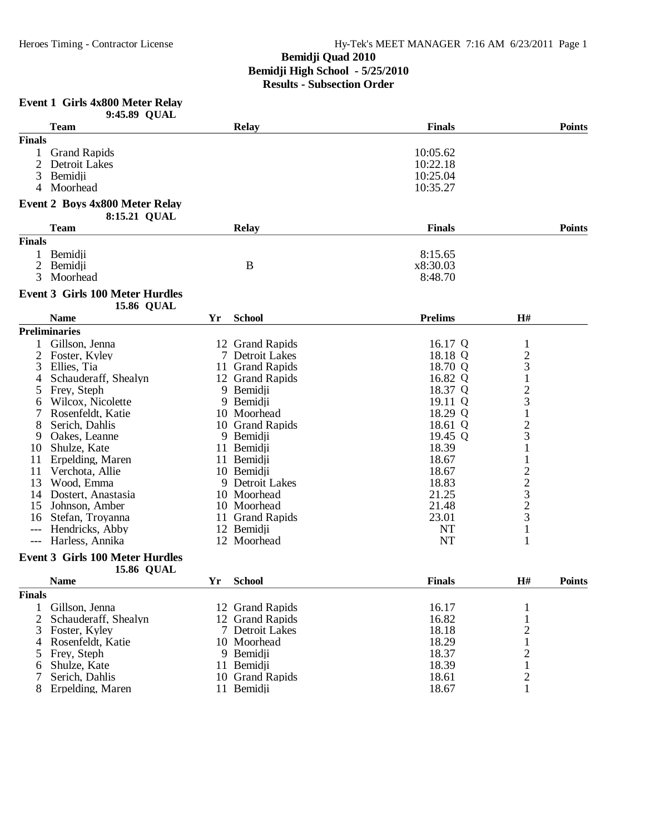# **Event 1 Girls 4x800 Meter Relay**

|                | 9:45.89 QUAL                                                |    |                 |                |                                                 |               |
|----------------|-------------------------------------------------------------|----|-----------------|----------------|-------------------------------------------------|---------------|
|                | <b>Team</b>                                                 |    | <b>Relay</b>    | <b>Finals</b>  |                                                 | <b>Points</b> |
| <b>Finals</b>  |                                                             |    |                 |                |                                                 |               |
| 1              | <b>Grand Rapids</b>                                         |    |                 | 10:05.62       |                                                 |               |
| $\overline{2}$ | Detroit Lakes                                               |    |                 | 10:22.18       |                                                 |               |
| 3              | Bemidji                                                     |    |                 | 10:25.04       |                                                 |               |
| 4              | Moorhead                                                    |    |                 | 10:35.27       |                                                 |               |
|                | <b>Event 2 Boys 4x800 Meter Relay</b><br>8:15.21 QUAL       |    |                 |                |                                                 |               |
|                | <b>Team</b>                                                 |    | <b>Relay</b>    | <b>Finals</b>  |                                                 | <b>Points</b> |
| <b>Finals</b>  |                                                             |    |                 |                |                                                 |               |
| 1              | Bemidji                                                     |    |                 | 8:15.65        |                                                 |               |
| $\overline{2}$ | Bemidji                                                     |    | B               | x8:30.03       |                                                 |               |
| 3              | Moorhead                                                    |    |                 | 8:48.70        |                                                 |               |
|                | <b>Event 3 Girls 100 Meter Hurdles</b><br><b>15.86 QUAL</b> |    |                 |                |                                                 |               |
|                | <b>Name</b>                                                 | Yr | <b>School</b>   | <b>Prelims</b> | H#                                              |               |
|                | <b>Preliminaries</b>                                        |    |                 |                |                                                 |               |
|                | Gillson, Jenna                                              |    | 12 Grand Rapids | 16.17 Q        | $\mathbf 1$                                     |               |
| 2              | Foster, Kyley                                               |    | 7 Detroit Lakes | 18.18 Q        |                                                 |               |
| 3              | Ellies, Tia                                                 |    | 11 Grand Rapids | 18.70 Q        | $\begin{array}{c} 2 \\ 3 \\ 1 \end{array}$      |               |
| 4              | Schauderaff, Shealyn                                        |    | 12 Grand Rapids | 16.82 Q        |                                                 |               |
| 5              | Frey, Steph                                                 |    | 9 Bemidji       | 18.37 Q        |                                                 |               |
| 6              | Wilcox, Nicolette                                           |    | 9 Bemidji       | 19.11 Q        | $\frac{2}{3}$                                   |               |
| 7              | Rosenfeldt, Katie                                           |    | 10 Moorhead     | 18.29 Q        | $\mathbf 1$                                     |               |
| 8              | Serich, Dahlis                                              |    | 10 Grand Rapids | 18.61 Q        |                                                 |               |
| 9              | Oakes, Leanne                                               |    | 9 Bemidji       | 19.45 Q        | $\frac{2}{3}$                                   |               |
| 10             | Shulze, Kate                                                |    | 11 Bemidji      | 18.39          | $\mathbf{1}$                                    |               |
| 11             | Erpelding, Maren                                            |    | 11 Bemidji      | 18.67          | $\mathbf{1}$                                    |               |
| 11             | Verchota, Allie                                             |    | 10 Bemidji      | 18.67          |                                                 |               |
| 13             | Wood, Emma                                                  |    | 9 Detroit Lakes | 18.83          | $\frac{2}{3}$<br>$\frac{3}{2}$<br>$\frac{2}{3}$ |               |
| 14             | Dostert, Anastasia                                          |    | 10 Moorhead     | 21.25          |                                                 |               |
| 15             | Johnson, Amber                                              |    | 10 Moorhead     | 21.48          |                                                 |               |
| 16             | Stefan, Troyanna                                            |    | 11 Grand Rapids | 23.01          |                                                 |               |
| $---$          | Hendricks, Abby                                             |    | 12 Bemidji      | <b>NT</b>      | $\mathbf{1}$                                    |               |
| $---$          | Harless, Annika                                             |    | 12 Moorhead     | <b>NT</b>      | 1                                               |               |
|                | <b>Event 3 Girls 100 Meter Hurdles</b>                      |    |                 |                |                                                 |               |
|                | <b>15.86 QUAL</b>                                           |    |                 |                |                                                 |               |
|                | <b>Name</b>                                                 |    | Yr School       | <b>Finals</b>  | H#                                              | Points        |
| <b>Finals</b>  |                                                             |    |                 |                |                                                 |               |
| $\mathbf{1}$   | Gillson, Jenna                                              |    | 12 Grand Rapids | 16.17          | 1                                               |               |
| 2              | Schauderaff, Shealyn                                        |    | 12 Grand Rapids | 16.82          | $\mathbf{1}$                                    |               |
| 3              | Foster, Kyley                                               |    | 7 Detroit Lakes | 18.18          | $\mathbf{2}$                                    |               |
| 4              | Rosenfeldt, Katie                                           |    | 10 Moorhead     | 18.29          | $\mathbf{1}$                                    |               |
| 5              | Frey, Steph                                                 |    | 9 Bemidji       | 18.37          | $\overline{c}$                                  |               |
| 6              | Shulze, Kate                                                |    | 11 Bemidii      | 18.39          | $\mathbf{1}$                                    |               |
| 7              | Serich, Dahlis                                              |    | 10 Grand Rapids | 18.61          | $\mathbf{2}$                                    |               |
| 8              | Erpelding, Maren                                            |    | 11 Bemidji      | 18.67          | 1                                               |               |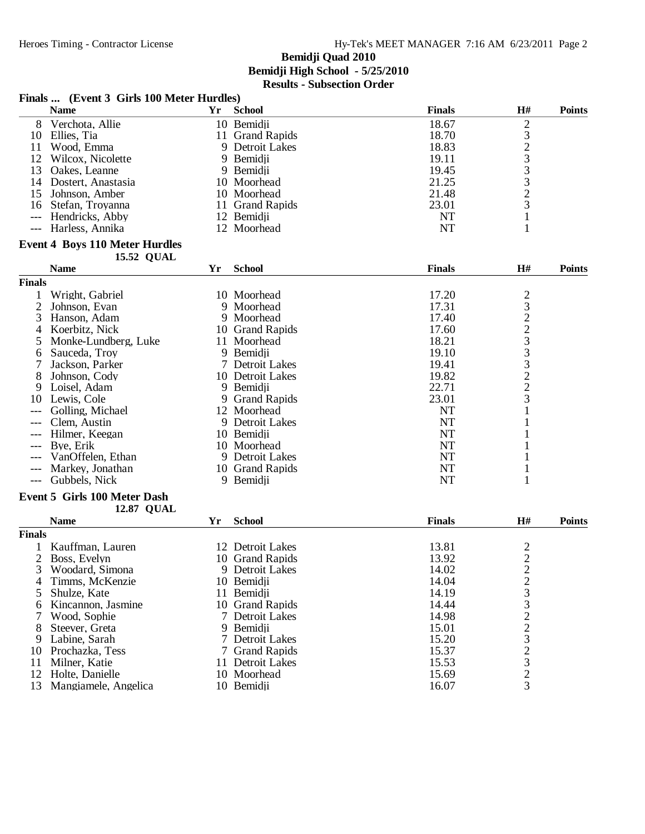|                     | Finals  (Event 3 Girls 100 Meter Hurdles) |    |                     |               |                         |               |
|---------------------|-------------------------------------------|----|---------------------|---------------|-------------------------|---------------|
|                     | <b>Name</b>                               | Yr | <b>School</b>       | <b>Finals</b> | H#                      | <b>Points</b> |
| 8                   | Verchota, Allie                           |    | 10 Bemidji          | 18.67         |                         |               |
| 10                  | Ellies, Tia                               |    | 11 Grand Rapids     | 18.70         | 232333231               |               |
| 11                  | Wood, Emma                                |    | 9 Detroit Lakes     | 18.83         |                         |               |
| 12                  | Wilcox, Nicolette                         |    | 9 Bemidji           | 19.11         |                         |               |
| 13                  | Oakes, Leanne                             |    | 9 Bemidji           | 19.45         |                         |               |
| 14                  | Dostert, Anastasia                        |    | 10 Moorhead         | 21.25         |                         |               |
| 15                  | Johnson, Amber                            |    | 10 Moorhead         | 21.48         |                         |               |
| 16                  | Stefan, Troyanna                          |    | 11 Grand Rapids     | 23.01         |                         |               |
| $---$               | Hendricks, Abby                           |    | 12 Bemidji          | <b>NT</b>     |                         |               |
| $\qquad \qquad - -$ | Harless, Annika                           |    | 12 Moorhead         | <b>NT</b>     | $\mathbf{1}$            |               |
|                     | <b>Event 4 Boys 110 Meter Hurdles</b>     |    |                     |               |                         |               |
|                     | <b>15.52 QUAL</b>                         |    |                     |               |                         |               |
|                     | <b>Name</b>                               | Yr | <b>School</b>       | <b>Finals</b> | H#                      | <b>Points</b> |
| <b>Finals</b>       |                                           |    |                     |               |                         |               |
| 1                   | Wright, Gabriel                           |    | 10 Moorhead         | 17.20         |                         |               |
| $\overline{2}$      | Johnson, Evan                             |    | 9 Moorhead          | 17.31         | 232233223               |               |
| 3                   | Hanson, Adam                              |    | 9 Moorhead          | 17.40         |                         |               |
| 4                   | Koerbitz, Nick                            |    | 10 Grand Rapids     | 17.60         |                         |               |
| 5                   | Monke-Lundberg, Luke                      |    | 11 Moorhead         | 18.21         |                         |               |
| 6                   | Sauceda, Troy                             |    | 9 Bemidii           | 19.10         |                         |               |
| 7                   | Jackson, Parker                           |    | 7 Detroit Lakes     | 19.41         |                         |               |
| 8                   | Johnson, Cody                             |    | 10 Detroit Lakes    | 19.82         |                         |               |
| 9                   | Loisel, Adam                              |    | 9 Bemidji           | 22.71         |                         |               |
| 10                  | Lewis, Cole                               | 9  | <b>Grand Rapids</b> | 23.01         |                         |               |
|                     | Golling, Michael                          |    | 12 Moorhead         | <b>NT</b>     | $\mathbf{1}$            |               |
|                     | Clem, Austin                              |    | 9 Detroit Lakes     | <b>NT</b>     | 1                       |               |
| $---$               | Hilmer, Keegan                            |    | 10 Bemidji          | <b>NT</b>     | 1                       |               |
| ---                 | Bye, Erik                                 |    | 10 Moorhead         | <b>NT</b>     | 1                       |               |
| ---                 | VanOffelen, Ethan                         |    | 9 Detroit Lakes     | <b>NT</b>     |                         |               |
| $---$               | Markey, Jonathan                          |    | 10 Grand Rapids     | NT            | 1                       |               |
| ---                 | Gubbels, Nick                             |    | 9 Bemidji           | <b>NT</b>     | 1                       |               |
|                     | <b>Event 5 Girls 100 Meter Dash</b>       |    |                     |               |                         |               |
|                     | <b>12.87 QUAL</b>                         |    |                     |               |                         |               |
|                     | <b>Name</b>                               | Yr | <b>School</b>       | <b>Finals</b> | H#                      | <b>Points</b> |
| <b>Finals</b>       |                                           |    |                     |               |                         |               |
|                     | Kauffman, Lauren                          |    | 12 Detroit Lakes    | 13.81         |                         |               |
|                     | 2 Boss, Evelyn                            |    | 10 Grand Rapids     | 13.92         | $\frac{2}{2}$           |               |
| 3                   | Woodard, Simona                           |    | 9 Detroit Lakes     | 14.02         | $\overline{\mathbf{c}}$ |               |
| 4                   | Timms, McKenzie                           |    | 10 Bemidji          | 14.04         |                         |               |
| 5                   | Shulze, Kate                              |    | 11 Bemidii          | 14.19         |                         |               |
| 6                   | Kincannon, Jasmine                        |    | 10 Grand Rapids     | 14.44         |                         |               |
| 7                   | Wood, Sophie                              |    | 7 Detroit Lakes     | 14.98         |                         |               |
| 8                   | Steever, Greta                            |    | 9 Bemidji           | 15.01         |                         |               |
| 9                   | Labine, Sarah                             |    | 7 Detroit Lakes     | 15.20         |                         |               |
| 10                  | Prochazka, Tess                           |    | 7 Grand Rapids      | 15.37         |                         |               |
| 11                  | Milner, Katie                             |    | 11 Detroit Lakes    | 15.53         |                         |               |
| 12                  | Holte, Danielle                           |    | 10 Moorhead         | 15.69         | 233223232               |               |
| 13                  | Mangiamele, Angelica                      |    | 10 Bemidii          | 16.07         | 3                       |               |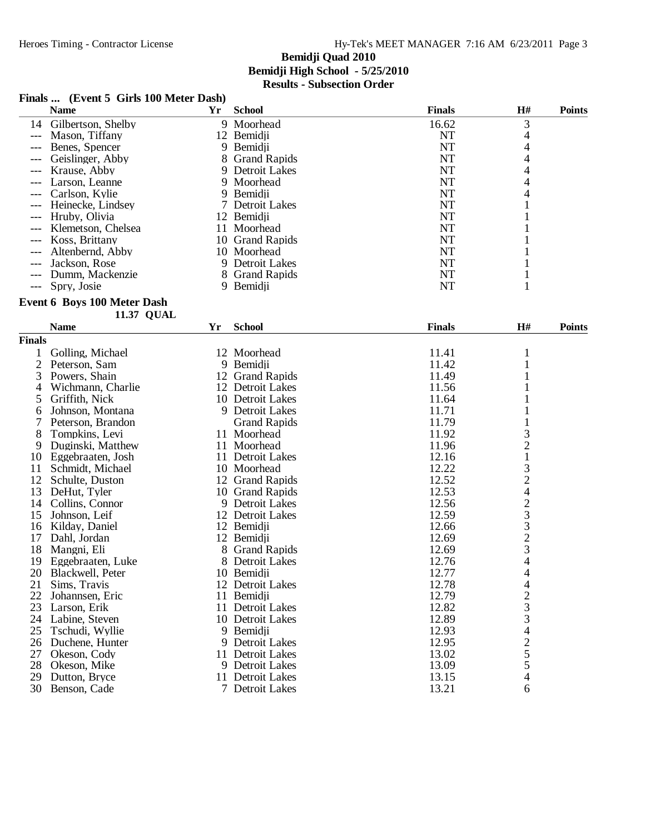#### **Finals ... (Event 5 Girls 100 Meter Dash)**

|       | <b>Name</b>           | Yr | <b>School</b>   | <b>Finals</b> | H# | <b>Points</b> |
|-------|-----------------------|----|-----------------|---------------|----|---------------|
|       | 14 Gilbertson, Shelby |    | 9 Moorhead      | 16.62         | 3  |               |
|       | Mason. Tiffany        |    | 12 Bemidii      | NT            |    |               |
| $---$ | Benes, Spencer        |    | 9 Bemidji       | NT            |    |               |
|       | Geislinger, Abby      |    | 8 Grand Rapids  | NT            |    |               |
|       | Krause, Abby          |    | 9 Detroit Lakes | NT            |    |               |
| $---$ | Larson, Leanne        |    | 9 Moorhead      | NT            |    |               |
| $---$ | Carlson, Kylie        |    | 9 Bemidii       | NT            |    |               |
|       | --- Heinecke, Lindsev |    | 7 Detroit Lakes | NT            |    |               |
| $---$ | Hruby, Olivia         |    | 12 Bemidji      | NT            |    |               |
| $---$ | Klemetson, Chelsea    | Ħ  | Moorhead        | NT            |    |               |
|       | Koss, Brittany        |    | 10 Grand Rapids | NT            |    |               |
|       | Altenbernd, Abby      |    | 10 Moorhead     | NT            |    |               |
| $---$ | Jackson, Rose         |    | 9 Detroit Lakes | NT            |    |               |
| $---$ | Dumm, Mackenzie       |    | 8 Grand Rapids  | <b>NT</b>     |    |               |
|       | --- Spry, Josie       |    | 9 Bemidii       | NT            |    |               |

#### **Event 6 Boys 100 Meter Dash**

**11.37 QUAL** 

|                | <b>Name</b>       | Yr     | <b>School</b>        | <b>Finals</b> | <b>H#</b>                                  | <b>Points</b> |
|----------------|-------------------|--------|----------------------|---------------|--------------------------------------------|---------------|
| <b>Finals</b>  |                   |        |                      |               |                                            |               |
|                | Golling, Michael  |        | 12 Moorhead          | 11.41         | 1                                          |               |
| $\overline{2}$ | Peterson, Sam     |        | 9 Bemidji            | 11.42         | $\mathbf{1}$                               |               |
| 3              | Powers, Shain     |        | 12 Grand Rapids      | 11.49         | 1                                          |               |
| 4              | Wichmann, Charlie |        | 12 Detroit Lakes     | 11.56         | 1                                          |               |
| 5              | Griffith, Nick    |        | 10 Detroit Lakes     | 11.64         |                                            |               |
| 6              | Johnson, Montana  |        | 9 Detroit Lakes      | 11.71         | $\mathbf 1$                                |               |
| 7              | Peterson, Brandon |        | <b>Grand Rapids</b>  | 11.79         | $\mathbf{1}$                               |               |
| 8              | Tompkins, Levi    |        | 11 Moorhead          | 11.92         |                                            |               |
| 9              | Duginski, Matthew |        | 11 Moorhead          | 11.96         | $\frac{3}{2}$                              |               |
| 10             | Eggebraaten, Josh |        | 11 Detroit Lakes     | 12.16         | $\mathbf{1}$                               |               |
| 11             | Schmidt, Michael  |        | 10 Moorhead          | 12.22         | $\frac{3}{2}$                              |               |
| 12             | Schulte, Duston   |        | 12 Grand Rapids      | 12.52         |                                            |               |
| 13             | DeHut, Tyler      |        | 10 Grand Rapids      | 12.53         | $\overline{4}$                             |               |
| 14             | Collins, Connor   | 9      | Detroit Lakes        | 12.56         |                                            |               |
| 15             | Johnson, Leif     |        | 12 Detroit Lakes     | 12.59         | $\frac{2}{3}$                              |               |
| 16             | Kilday, Daniel    |        | 12 Bemidji           | 12.66         |                                            |               |
| 17             | Dahl, Jordan      |        | 12 Bemidji           | 12.69         | $\begin{array}{c} 3 \\ 2 \\ 3 \end{array}$ |               |
| 18             | Mangni, Eli       |        | 8 Grand Rapids       | 12.69         |                                            |               |
| 19             | Eggebraaten, Luke | 8      | <b>Detroit Lakes</b> | 12.76         | $\overline{4}$                             |               |
| 20             | Blackwell, Peter  |        | 10 Bemidji           | 12.77         | $\overline{4}$                             |               |
| 21             | Sims, Travis      |        | 12 Detroit Lakes     | 12.78         | $\overline{4}$                             |               |
| 22             | Johannsen, Eric   | 11     | Bemidji              | 12.79         |                                            |               |
| 23             | Larson, Erik      | 11     | Detroit Lakes        | 12.82         | $\frac{2}{3}$                              |               |
| 24             | Labine, Steven    |        | 10 Detroit Lakes     | 12.89         |                                            |               |
| 25             | Tschudi, Wyllie   | 9      | Bemidji              | 12.93         | 4                                          |               |
| 26             | Duchene, Hunter   | 9      | Detroit Lakes        | 12.95         | $rac{2}{5}$                                |               |
| 27             | Okeson, Cody      | 11     | <b>Detroit Lakes</b> | 13.02         |                                            |               |
| 28             | Okeson, Mike      |        | 9 Detroit Lakes      | 13.09         | 5                                          |               |
| 29             | Dutton, Bryce     | 11     | Detroit Lakes        | 13.15         | $\overline{\mathcal{A}}$                   |               |
| 30             | Benson, Cade      | $\tau$ | <b>Detroit Lakes</b> | 13.21         | 6                                          |               |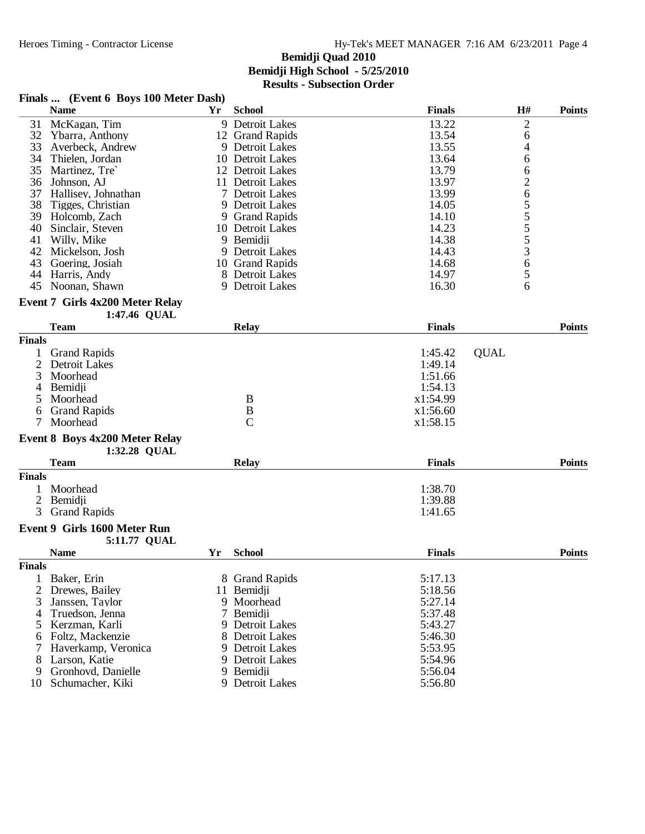#### **Finals ... (Event 6 Boys 100 Meter Dash)**

|    | <b>Name</b>         | Yr | <b>School</b>    | <b>Finals</b> | H# | <b>Points</b> |
|----|---------------------|----|------------------|---------------|----|---------------|
| 31 | McKagan, Tim        |    | 9 Detroit Lakes  | 13.22         | 2  |               |
| 32 | Ybarra, Anthony     |    | 12 Grand Rapids  | 13.54         | 6  |               |
| 33 | Averbeck. Andrew    |    | 9 Detroit Lakes  | 13.55         | 4  |               |
| 34 | Thielen. Jordan     |    | 10 Detroit Lakes | 13.64         | 6  |               |
| 35 | Martinez. Tre       |    | 12 Detroit Lakes | 13.79         | 6  |               |
| 36 | Johnson, AJ         |    | 11 Detroit Lakes | 13.97         | ↑  |               |
| 37 | Hallisev. Johnathan |    | 7 Detroit Lakes  | 13.99         | 6  |               |
| 38 | Tigges, Christian   |    | 9 Detroit Lakes  | 14.05         |    |               |
| 39 | Holcomb, Zach       |    | 9 Grand Rapids   | 14.10         |    |               |
| 40 | Sinclair, Steven    |    | 10 Detroit Lakes | 14.23         |    |               |
| 41 | Willy, Mike         |    | 9 Bemidji        | 14.38         |    |               |
| 42 | Mickelson, Josh     |    | 9 Detroit Lakes  | 14.43         | 3  |               |
| 43 | Goering, Josiah     |    | 10 Grand Rapids  | 14.68         | 6  |               |
| 44 | Harris, Andy        |    | 8 Detroit Lakes  | 14.97         |    |               |
| 45 | Noonan, Shawn       |    | 9 Detroit Lakes  | 16.30         | O  |               |

#### **Event 7 Girls 4x200 Meter Relay**

| 1:47.46 QUAL            |              |               |        |
|-------------------------|--------------|---------------|--------|
| <b>Team</b>             | <b>Relay</b> | <b>Finals</b> | Points |
| <b>Finals</b>           |              |               |        |
| $\sim$<br>$\sim$ $\sim$ |              |               |        |

| Tinals |                     |              |          |             |
|--------|---------------------|--------------|----------|-------------|
|        | <b>Grand Rapids</b> |              | 1:45.42  | <b>OUAL</b> |
|        | 2 Detroit Lakes     |              | 1:49.14  |             |
|        | 3 Moorhead          |              | 1:51.66  |             |
|        | 4 Bemidji           |              | 1:54.13  |             |
|        | 5 Moorhead          | В            | x1:54.99 |             |
|        | 6 Grand Rapids      | B            | x1:56.60 |             |
|        | Moorhead            | $\mathsf{C}$ | x1:58.15 |             |
|        |                     |              |          |             |

#### **Event 8 Boys 4x200 Meter Relay 1:32.28 QUAL**

|        | 1:32.28 QUAL        |              |                                |  |
|--------|---------------------|--------------|--------------------------------|--|
|        | <b>Team</b>         | <b>Relay</b> | <b>Finals</b><br><b>Points</b> |  |
| Finals |                     |              |                                |  |
|        | Moorhead            |              | 1:38.70                        |  |
| 2      | Bemidji             |              | 1:39.88                        |  |
| 3      | <b>Grand Rapids</b> |              | 1:41.65                        |  |
|        |                     |              |                                |  |

#### **Event 9 Girls 1600 Meter Run 5:11.77 QUAL**

|               | $3:11.77$ QUAL      |    |                 |               |               |
|---------------|---------------------|----|-----------------|---------------|---------------|
|               | <b>Name</b>         | Yr | <b>School</b>   | <b>Finals</b> | <b>Points</b> |
| <b>Finals</b> |                     |    |                 |               |               |
|               | Baker, Erin         |    | 8 Grand Rapids  | 5:17.13       |               |
|               | 2 Drewes, Bailey    |    | 11 Bemidii      | 5:18.56       |               |
|               | Janssen, Taylor     |    | 9 Moorhead      | 5:27.14       |               |
| 4             | Truedson, Jenna     |    | 7 Bemidji       | 5:37.48       |               |
|               | 5 Kerzman, Karli    |    | 9 Detroit Lakes | 5:43.27       |               |
|               | 6 Foltz, Mackenzie  |    | 8 Detroit Lakes | 5:46.30       |               |
|               | Haverkamp, Veronica |    | 9 Detroit Lakes | 5:53.95       |               |
| 8             | Larson, Katie       |    | 9 Detroit Lakes | 5:54.96       |               |
| 9             | Gronhovd, Danielle  |    | 9 Bemidji       | 5:56.04       |               |
| 10            | Schumacher, Kiki    |    | 9 Detroit Lakes | 5:56.80       |               |
|               |                     |    |                 |               |               |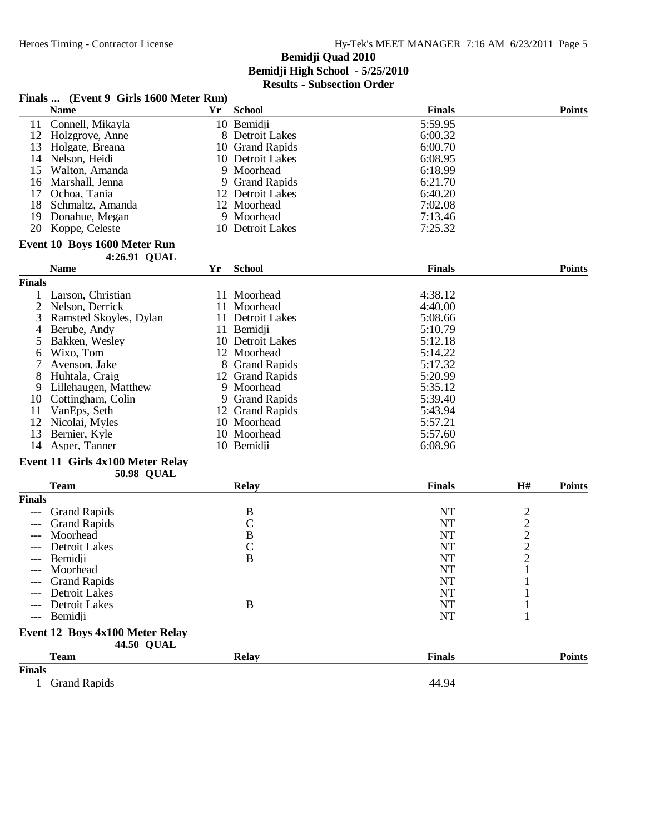|               | Finals  (Event 9 Girls 1600 Meter Run) |    |                  |               |                                                   |               |
|---------------|----------------------------------------|----|------------------|---------------|---------------------------------------------------|---------------|
|               | <b>Name</b>                            | Yr | <b>School</b>    | <b>Finals</b> |                                                   | <b>Points</b> |
| 11            | Connell, Mikayla                       |    | 10 Bemidji       | 5:59.95       |                                                   |               |
| 12            | Holzgrove, Anne                        |    | 8 Detroit Lakes  | 6:00.32       |                                                   |               |
| 13            | Holgate, Breana                        |    | 10 Grand Rapids  | 6:00.70       |                                                   |               |
| 14            | Nelson, Heidi                          |    | 10 Detroit Lakes | 6:08.95       |                                                   |               |
| 15            | Walton, Amanda                         |    | 9 Moorhead       | 6:18.99       |                                                   |               |
| 16            | Marshall, Jenna                        |    | 9 Grand Rapids   | 6:21.70       |                                                   |               |
| 17            | Ochoa, Tania                           |    | 12 Detroit Lakes | 6:40.20       |                                                   |               |
| 18            | Schmaltz, Amanda                       |    | 12 Moorhead      | 7:02.08       |                                                   |               |
|               | 19 Donahue, Megan                      |    | 9 Moorhead       | 7:13.46       |                                                   |               |
| 20            | Koppe, Celeste                         |    | 10 Detroit Lakes | 7:25.32       |                                                   |               |
|               |                                        |    |                  |               |                                                   |               |
|               | Event 10 Boys 1600 Meter Run           |    |                  |               |                                                   |               |
|               | 4:26.91 QUAL                           |    |                  |               |                                                   |               |
|               | <b>Name</b>                            | Yr | <b>School</b>    | <b>Finals</b> |                                                   | <b>Points</b> |
| <b>Finals</b> |                                        |    |                  |               |                                                   |               |
|               | Larson, Christian                      |    | 11 Moorhead      | 4:38.12       |                                                   |               |
| 2             | Nelson, Derrick                        |    | 11 Moorhead      | 4:40.00       |                                                   |               |
| 3             | Ramsted Skoyles, Dylan                 |    | 11 Detroit Lakes | 5:08.66       |                                                   |               |
| 4             | Berube, Andy                           |    | 11 Bemidji       | 5:10.79       |                                                   |               |
| 5             | Bakken, Wesley                         |    | 10 Detroit Lakes | 5:12.18       |                                                   |               |
| 6             | Wixo, Tom                              |    | 12 Moorhead      | 5:14.22       |                                                   |               |
|               | Avenson, Jake                          |    | 8 Grand Rapids   | 5:17.32       |                                                   |               |
| 8             | Huhtala, Craig                         |    | 12 Grand Rapids  | 5:20.99       |                                                   |               |
| 9             | Lillehaugen, Matthew                   |    | 9 Moorhead       | 5:35.12       |                                                   |               |
| 10            | Cottingham, Colin                      |    | 9 Grand Rapids   | 5:39.40       |                                                   |               |
| 11            | VanEps, Seth                           |    | 12 Grand Rapids  | 5:43.94       |                                                   |               |
| 12            | Nicolai, Myles                         |    | 10 Moorhead      | 5:57.21       |                                                   |               |
| 13            | Bernier, Kyle                          |    | 10 Moorhead      | 5:57.60       |                                                   |               |
| 14            | Asper, Tanner                          |    | 10 Bemidii       | 6:08.96       |                                                   |               |
|               |                                        |    |                  |               |                                                   |               |
|               | Event 11 Girls 4x100 Meter Relay       |    |                  |               |                                                   |               |
|               | <b>50.98 QUAL</b>                      |    |                  |               |                                                   |               |
|               | <b>Team</b>                            |    | <b>Relay</b>     | <b>Finals</b> | H#                                                | <b>Points</b> |
| <b>Finals</b> |                                        |    |                  |               |                                                   |               |
|               | <b>Grand Rapids</b>                    |    | $\boldsymbol{B}$ | <b>NT</b>     |                                                   |               |
|               | <b>Grand Rapids</b>                    |    | $\mathsf{C}$     | <b>NT</b>     | $\begin{array}{c}\n2 \\ 2 \\ 2 \\ 2\n\end{array}$ |               |
|               | Moorhead                               |    | $\, {\bf B}$     | <b>NT</b>     |                                                   |               |
|               | Detroit Lakes                          |    | $\mathbf C$      | NT            |                                                   |               |
| $---$         | Bemidii                                |    | $\overline{B}$   | NT            |                                                   |               |
|               | Moorhead                               |    |                  | <b>NT</b>     | $\mathbf{I}$                                      |               |
|               | <b>Grand Rapids</b>                    |    |                  | NT            |                                                   |               |
|               | <b>Detroit Lakes</b>                   |    |                  | <b>NT</b>     |                                                   |               |
|               | Detroit Lakes                          |    | $\bf{B}$         | <b>NT</b>     |                                                   |               |
| $---$         | Bemidii                                |    |                  | <b>NT</b>     | 1                                                 |               |
|               | Event 12 Boys 4x100 Meter Relay        |    |                  |               |                                                   |               |
|               | <b>44.50 QUAL</b>                      |    |                  |               |                                                   |               |
|               | <b>Team</b>                            |    | <b>Relay</b>     | <b>Finals</b> |                                                   | <b>Points</b> |
| <b>Finals</b> |                                        |    |                  |               |                                                   |               |
| $\mathbf{1}$  | <b>Grand Rapids</b>                    |    |                  | 44.94         |                                                   |               |
|               |                                        |    |                  |               |                                                   |               |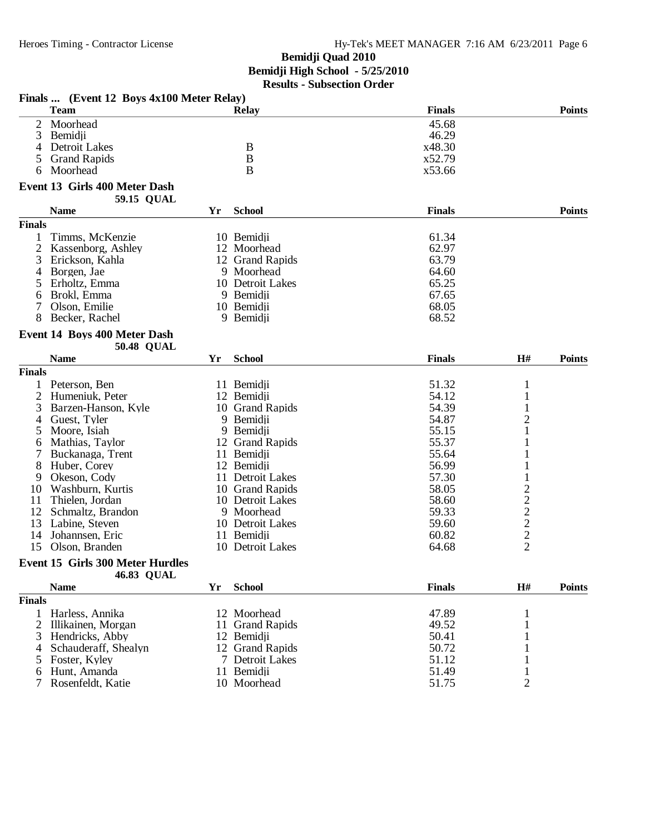| <b>Team</b><br><b>Finals</b><br><b>Points</b><br><b>Relay</b><br>$\overline{2}$<br>Moorhead<br>45.68<br>3<br>46.29<br>Bemidji<br>Detroit Lakes<br>B<br>x48.30<br>4<br>B<br><b>Grand Rapids</b><br>x52.79<br>5<br>B<br>Moorhead<br>x53.66<br>6<br>Event 13 Girls 400 Meter Dash<br>59.15 QUAL<br><b>Name</b><br><b>Finals</b><br><b>School</b><br><b>Points</b><br>Yr<br><b>Finals</b><br>61.34<br>Timms, McKenzie<br>1<br>10 Bemidii<br>$\overline{2}$<br>62.97<br>Kassenborg, Ashley<br>12 Moorhead<br>63.79<br>3<br>Erickson, Kahla<br>12 Grand Rapids<br>Borgen, Jae<br>9 Moorhead<br>64.60<br>4<br>10 Detroit Lakes<br>65.25<br>Erholtz, Emma<br>5<br>67.65<br>Brokl, Emma<br>9 Bemidji<br>6<br>68.05<br>7<br>Olson, Emilie<br>10 Bemidji<br>68.52<br>8<br>Becker, Rachel<br>9 Bemidji<br>Event 14 Boys 400 Meter Dash<br><b>50.48 QUAL</b><br><b>Name</b><br><b>School</b><br><b>Finals</b><br>H#<br>Yr<br><b>Points</b><br><b>Finals</b><br>Peterson, Ben<br>11 Bemidji<br>51.32<br>$\mathbf{1}$<br>2<br>54.12<br>$\mathbf{1}$<br>Humeniuk, Peter<br>12 Bemidji<br>3<br>54.39<br>$\mathbf{1}$<br>Barzen-Hanson, Kyle<br>10 Grand Rapids<br>$\overline{\mathbf{c}}$<br>54.87<br>Guest, Tyler<br>9 Bemidji<br>4<br>1<br>Moore, Isiah<br>9 Bemidji<br>55.15<br>5<br>55.37<br>12 Grand Rapids<br>1<br>Mathias, Taylor<br>6<br>Buckanaga, Trent<br>11 Bemidji<br>55.64<br>56.99<br>8<br>Huber, Corey<br>12 Bemidji<br>Okeson, Cody<br>57.30<br>11 Detroit Lakes<br>9<br>$\frac{2}{2}$<br>$\frac{2}{2}$<br>58.05<br>Washburn, Kurtis<br>10 Grand Rapids<br>10<br>11<br>Thielen, Jordan<br>10 Detroit Lakes<br>58.60<br>12<br>9 Moorhead<br>59.33<br>Schmaltz, Brandon<br>13<br>Labine, Steven<br>10 Detroit Lakes<br>59.60<br>60.82<br>14<br>Johannsen, Eric<br>11 Bemidji<br>$\overline{2}$<br>15<br>Olson, Branden<br>10 Detroit Lakes<br>64.68<br><b>Event 15 Girls 300 Meter Hurdles</b><br>46.83 QUAL<br><b>Name</b><br><b>School</b><br><b>Finals</b><br>H#<br>Yr<br><b>Points</b><br><b>Finals</b><br>Harless, Annika<br>12 Moorhead<br>47.89<br>49.52<br>2<br>Illikainen, Morgan<br><b>Grand Rapids</b><br>11<br>Hendricks, Abby<br>50.41<br>3<br>12 Bemidji<br>50.72<br>Schauderaff, Shealyn<br>12 Grand Rapids<br>4<br>51.12<br>Foster, Kyley<br>7 Detroit Lakes<br>5<br>11 Bemidji<br>51.49<br>Hunt, Amanda<br>6<br>$\overline{2}$<br>10 Moorhead<br>Rosenfeldt, Katie<br>51.75 | Finals  (Event 12 Boys 4x100 Meter Relay) |  |  |  |
|--------------------------------------------------------------------------------------------------------------------------------------------------------------------------------------------------------------------------------------------------------------------------------------------------------------------------------------------------------------------------------------------------------------------------------------------------------------------------------------------------------------------------------------------------------------------------------------------------------------------------------------------------------------------------------------------------------------------------------------------------------------------------------------------------------------------------------------------------------------------------------------------------------------------------------------------------------------------------------------------------------------------------------------------------------------------------------------------------------------------------------------------------------------------------------------------------------------------------------------------------------------------------------------------------------------------------------------------------------------------------------------------------------------------------------------------------------------------------------------------------------------------------------------------------------------------------------------------------------------------------------------------------------------------------------------------------------------------------------------------------------------------------------------------------------------------------------------------------------------------------------------------------------------------------------------------------------------------------------------------------------------------------------------------------------------------------------------------------------------------------------------------------------------------------------------------------------------------------------------------------------------------------------------------------------------------------------------------------------------------------------------------|-------------------------------------------|--|--|--|
|                                                                                                                                                                                                                                                                                                                                                                                                                                                                                                                                                                                                                                                                                                                                                                                                                                                                                                                                                                                                                                                                                                                                                                                                                                                                                                                                                                                                                                                                                                                                                                                                                                                                                                                                                                                                                                                                                                                                                                                                                                                                                                                                                                                                                                                                                                                                                                                            |                                           |  |  |  |
|                                                                                                                                                                                                                                                                                                                                                                                                                                                                                                                                                                                                                                                                                                                                                                                                                                                                                                                                                                                                                                                                                                                                                                                                                                                                                                                                                                                                                                                                                                                                                                                                                                                                                                                                                                                                                                                                                                                                                                                                                                                                                                                                                                                                                                                                                                                                                                                            |                                           |  |  |  |
|                                                                                                                                                                                                                                                                                                                                                                                                                                                                                                                                                                                                                                                                                                                                                                                                                                                                                                                                                                                                                                                                                                                                                                                                                                                                                                                                                                                                                                                                                                                                                                                                                                                                                                                                                                                                                                                                                                                                                                                                                                                                                                                                                                                                                                                                                                                                                                                            |                                           |  |  |  |
|                                                                                                                                                                                                                                                                                                                                                                                                                                                                                                                                                                                                                                                                                                                                                                                                                                                                                                                                                                                                                                                                                                                                                                                                                                                                                                                                                                                                                                                                                                                                                                                                                                                                                                                                                                                                                                                                                                                                                                                                                                                                                                                                                                                                                                                                                                                                                                                            |                                           |  |  |  |
|                                                                                                                                                                                                                                                                                                                                                                                                                                                                                                                                                                                                                                                                                                                                                                                                                                                                                                                                                                                                                                                                                                                                                                                                                                                                                                                                                                                                                                                                                                                                                                                                                                                                                                                                                                                                                                                                                                                                                                                                                                                                                                                                                                                                                                                                                                                                                                                            |                                           |  |  |  |
|                                                                                                                                                                                                                                                                                                                                                                                                                                                                                                                                                                                                                                                                                                                                                                                                                                                                                                                                                                                                                                                                                                                                                                                                                                                                                                                                                                                                                                                                                                                                                                                                                                                                                                                                                                                                                                                                                                                                                                                                                                                                                                                                                                                                                                                                                                                                                                                            |                                           |  |  |  |
|                                                                                                                                                                                                                                                                                                                                                                                                                                                                                                                                                                                                                                                                                                                                                                                                                                                                                                                                                                                                                                                                                                                                                                                                                                                                                                                                                                                                                                                                                                                                                                                                                                                                                                                                                                                                                                                                                                                                                                                                                                                                                                                                                                                                                                                                                                                                                                                            |                                           |  |  |  |
|                                                                                                                                                                                                                                                                                                                                                                                                                                                                                                                                                                                                                                                                                                                                                                                                                                                                                                                                                                                                                                                                                                                                                                                                                                                                                                                                                                                                                                                                                                                                                                                                                                                                                                                                                                                                                                                                                                                                                                                                                                                                                                                                                                                                                                                                                                                                                                                            |                                           |  |  |  |
|                                                                                                                                                                                                                                                                                                                                                                                                                                                                                                                                                                                                                                                                                                                                                                                                                                                                                                                                                                                                                                                                                                                                                                                                                                                                                                                                                                                                                                                                                                                                                                                                                                                                                                                                                                                                                                                                                                                                                                                                                                                                                                                                                                                                                                                                                                                                                                                            |                                           |  |  |  |
|                                                                                                                                                                                                                                                                                                                                                                                                                                                                                                                                                                                                                                                                                                                                                                                                                                                                                                                                                                                                                                                                                                                                                                                                                                                                                                                                                                                                                                                                                                                                                                                                                                                                                                                                                                                                                                                                                                                                                                                                                                                                                                                                                                                                                                                                                                                                                                                            |                                           |  |  |  |
|                                                                                                                                                                                                                                                                                                                                                                                                                                                                                                                                                                                                                                                                                                                                                                                                                                                                                                                                                                                                                                                                                                                                                                                                                                                                                                                                                                                                                                                                                                                                                                                                                                                                                                                                                                                                                                                                                                                                                                                                                                                                                                                                                                                                                                                                                                                                                                                            |                                           |  |  |  |
|                                                                                                                                                                                                                                                                                                                                                                                                                                                                                                                                                                                                                                                                                                                                                                                                                                                                                                                                                                                                                                                                                                                                                                                                                                                                                                                                                                                                                                                                                                                                                                                                                                                                                                                                                                                                                                                                                                                                                                                                                                                                                                                                                                                                                                                                                                                                                                                            |                                           |  |  |  |
|                                                                                                                                                                                                                                                                                                                                                                                                                                                                                                                                                                                                                                                                                                                                                                                                                                                                                                                                                                                                                                                                                                                                                                                                                                                                                                                                                                                                                                                                                                                                                                                                                                                                                                                                                                                                                                                                                                                                                                                                                                                                                                                                                                                                                                                                                                                                                                                            |                                           |  |  |  |
|                                                                                                                                                                                                                                                                                                                                                                                                                                                                                                                                                                                                                                                                                                                                                                                                                                                                                                                                                                                                                                                                                                                                                                                                                                                                                                                                                                                                                                                                                                                                                                                                                                                                                                                                                                                                                                                                                                                                                                                                                                                                                                                                                                                                                                                                                                                                                                                            |                                           |  |  |  |
|                                                                                                                                                                                                                                                                                                                                                                                                                                                                                                                                                                                                                                                                                                                                                                                                                                                                                                                                                                                                                                                                                                                                                                                                                                                                                                                                                                                                                                                                                                                                                                                                                                                                                                                                                                                                                                                                                                                                                                                                                                                                                                                                                                                                                                                                                                                                                                                            |                                           |  |  |  |
|                                                                                                                                                                                                                                                                                                                                                                                                                                                                                                                                                                                                                                                                                                                                                                                                                                                                                                                                                                                                                                                                                                                                                                                                                                                                                                                                                                                                                                                                                                                                                                                                                                                                                                                                                                                                                                                                                                                                                                                                                                                                                                                                                                                                                                                                                                                                                                                            |                                           |  |  |  |
|                                                                                                                                                                                                                                                                                                                                                                                                                                                                                                                                                                                                                                                                                                                                                                                                                                                                                                                                                                                                                                                                                                                                                                                                                                                                                                                                                                                                                                                                                                                                                                                                                                                                                                                                                                                                                                                                                                                                                                                                                                                                                                                                                                                                                                                                                                                                                                                            |                                           |  |  |  |
|                                                                                                                                                                                                                                                                                                                                                                                                                                                                                                                                                                                                                                                                                                                                                                                                                                                                                                                                                                                                                                                                                                                                                                                                                                                                                                                                                                                                                                                                                                                                                                                                                                                                                                                                                                                                                                                                                                                                                                                                                                                                                                                                                                                                                                                                                                                                                                                            |                                           |  |  |  |
|                                                                                                                                                                                                                                                                                                                                                                                                                                                                                                                                                                                                                                                                                                                                                                                                                                                                                                                                                                                                                                                                                                                                                                                                                                                                                                                                                                                                                                                                                                                                                                                                                                                                                                                                                                                                                                                                                                                                                                                                                                                                                                                                                                                                                                                                                                                                                                                            |                                           |  |  |  |
|                                                                                                                                                                                                                                                                                                                                                                                                                                                                                                                                                                                                                                                                                                                                                                                                                                                                                                                                                                                                                                                                                                                                                                                                                                                                                                                                                                                                                                                                                                                                                                                                                                                                                                                                                                                                                                                                                                                                                                                                                                                                                                                                                                                                                                                                                                                                                                                            |                                           |  |  |  |
|                                                                                                                                                                                                                                                                                                                                                                                                                                                                                                                                                                                                                                                                                                                                                                                                                                                                                                                                                                                                                                                                                                                                                                                                                                                                                                                                                                                                                                                                                                                                                                                                                                                                                                                                                                                                                                                                                                                                                                                                                                                                                                                                                                                                                                                                                                                                                                                            |                                           |  |  |  |
|                                                                                                                                                                                                                                                                                                                                                                                                                                                                                                                                                                                                                                                                                                                                                                                                                                                                                                                                                                                                                                                                                                                                                                                                                                                                                                                                                                                                                                                                                                                                                                                                                                                                                                                                                                                                                                                                                                                                                                                                                                                                                                                                                                                                                                                                                                                                                                                            |                                           |  |  |  |
|                                                                                                                                                                                                                                                                                                                                                                                                                                                                                                                                                                                                                                                                                                                                                                                                                                                                                                                                                                                                                                                                                                                                                                                                                                                                                                                                                                                                                                                                                                                                                                                                                                                                                                                                                                                                                                                                                                                                                                                                                                                                                                                                                                                                                                                                                                                                                                                            |                                           |  |  |  |
|                                                                                                                                                                                                                                                                                                                                                                                                                                                                                                                                                                                                                                                                                                                                                                                                                                                                                                                                                                                                                                                                                                                                                                                                                                                                                                                                                                                                                                                                                                                                                                                                                                                                                                                                                                                                                                                                                                                                                                                                                                                                                                                                                                                                                                                                                                                                                                                            |                                           |  |  |  |
|                                                                                                                                                                                                                                                                                                                                                                                                                                                                                                                                                                                                                                                                                                                                                                                                                                                                                                                                                                                                                                                                                                                                                                                                                                                                                                                                                                                                                                                                                                                                                                                                                                                                                                                                                                                                                                                                                                                                                                                                                                                                                                                                                                                                                                                                                                                                                                                            |                                           |  |  |  |
|                                                                                                                                                                                                                                                                                                                                                                                                                                                                                                                                                                                                                                                                                                                                                                                                                                                                                                                                                                                                                                                                                                                                                                                                                                                                                                                                                                                                                                                                                                                                                                                                                                                                                                                                                                                                                                                                                                                                                                                                                                                                                                                                                                                                                                                                                                                                                                                            |                                           |  |  |  |
|                                                                                                                                                                                                                                                                                                                                                                                                                                                                                                                                                                                                                                                                                                                                                                                                                                                                                                                                                                                                                                                                                                                                                                                                                                                                                                                                                                                                                                                                                                                                                                                                                                                                                                                                                                                                                                                                                                                                                                                                                                                                                                                                                                                                                                                                                                                                                                                            |                                           |  |  |  |
|                                                                                                                                                                                                                                                                                                                                                                                                                                                                                                                                                                                                                                                                                                                                                                                                                                                                                                                                                                                                                                                                                                                                                                                                                                                                                                                                                                                                                                                                                                                                                                                                                                                                                                                                                                                                                                                                                                                                                                                                                                                                                                                                                                                                                                                                                                                                                                                            |                                           |  |  |  |
|                                                                                                                                                                                                                                                                                                                                                                                                                                                                                                                                                                                                                                                                                                                                                                                                                                                                                                                                                                                                                                                                                                                                                                                                                                                                                                                                                                                                                                                                                                                                                                                                                                                                                                                                                                                                                                                                                                                                                                                                                                                                                                                                                                                                                                                                                                                                                                                            |                                           |  |  |  |
|                                                                                                                                                                                                                                                                                                                                                                                                                                                                                                                                                                                                                                                                                                                                                                                                                                                                                                                                                                                                                                                                                                                                                                                                                                                                                                                                                                                                                                                                                                                                                                                                                                                                                                                                                                                                                                                                                                                                                                                                                                                                                                                                                                                                                                                                                                                                                                                            |                                           |  |  |  |
|                                                                                                                                                                                                                                                                                                                                                                                                                                                                                                                                                                                                                                                                                                                                                                                                                                                                                                                                                                                                                                                                                                                                                                                                                                                                                                                                                                                                                                                                                                                                                                                                                                                                                                                                                                                                                                                                                                                                                                                                                                                                                                                                                                                                                                                                                                                                                                                            |                                           |  |  |  |
|                                                                                                                                                                                                                                                                                                                                                                                                                                                                                                                                                                                                                                                                                                                                                                                                                                                                                                                                                                                                                                                                                                                                                                                                                                                                                                                                                                                                                                                                                                                                                                                                                                                                                                                                                                                                                                                                                                                                                                                                                                                                                                                                                                                                                                                                                                                                                                                            |                                           |  |  |  |
|                                                                                                                                                                                                                                                                                                                                                                                                                                                                                                                                                                                                                                                                                                                                                                                                                                                                                                                                                                                                                                                                                                                                                                                                                                                                                                                                                                                                                                                                                                                                                                                                                                                                                                                                                                                                                                                                                                                                                                                                                                                                                                                                                                                                                                                                                                                                                                                            |                                           |  |  |  |
|                                                                                                                                                                                                                                                                                                                                                                                                                                                                                                                                                                                                                                                                                                                                                                                                                                                                                                                                                                                                                                                                                                                                                                                                                                                                                                                                                                                                                                                                                                                                                                                                                                                                                                                                                                                                                                                                                                                                                                                                                                                                                                                                                                                                                                                                                                                                                                                            |                                           |  |  |  |
|                                                                                                                                                                                                                                                                                                                                                                                                                                                                                                                                                                                                                                                                                                                                                                                                                                                                                                                                                                                                                                                                                                                                                                                                                                                                                                                                                                                                                                                                                                                                                                                                                                                                                                                                                                                                                                                                                                                                                                                                                                                                                                                                                                                                                                                                                                                                                                                            |                                           |  |  |  |
|                                                                                                                                                                                                                                                                                                                                                                                                                                                                                                                                                                                                                                                                                                                                                                                                                                                                                                                                                                                                                                                                                                                                                                                                                                                                                                                                                                                                                                                                                                                                                                                                                                                                                                                                                                                                                                                                                                                                                                                                                                                                                                                                                                                                                                                                                                                                                                                            |                                           |  |  |  |
|                                                                                                                                                                                                                                                                                                                                                                                                                                                                                                                                                                                                                                                                                                                                                                                                                                                                                                                                                                                                                                                                                                                                                                                                                                                                                                                                                                                                                                                                                                                                                                                                                                                                                                                                                                                                                                                                                                                                                                                                                                                                                                                                                                                                                                                                                                                                                                                            |                                           |  |  |  |
|                                                                                                                                                                                                                                                                                                                                                                                                                                                                                                                                                                                                                                                                                                                                                                                                                                                                                                                                                                                                                                                                                                                                                                                                                                                                                                                                                                                                                                                                                                                                                                                                                                                                                                                                                                                                                                                                                                                                                                                                                                                                                                                                                                                                                                                                                                                                                                                            |                                           |  |  |  |
|                                                                                                                                                                                                                                                                                                                                                                                                                                                                                                                                                                                                                                                                                                                                                                                                                                                                                                                                                                                                                                                                                                                                                                                                                                                                                                                                                                                                                                                                                                                                                                                                                                                                                                                                                                                                                                                                                                                                                                                                                                                                                                                                                                                                                                                                                                                                                                                            |                                           |  |  |  |
|                                                                                                                                                                                                                                                                                                                                                                                                                                                                                                                                                                                                                                                                                                                                                                                                                                                                                                                                                                                                                                                                                                                                                                                                                                                                                                                                                                                                                                                                                                                                                                                                                                                                                                                                                                                                                                                                                                                                                                                                                                                                                                                                                                                                                                                                                                                                                                                            |                                           |  |  |  |
|                                                                                                                                                                                                                                                                                                                                                                                                                                                                                                                                                                                                                                                                                                                                                                                                                                                                                                                                                                                                                                                                                                                                                                                                                                                                                                                                                                                                                                                                                                                                                                                                                                                                                                                                                                                                                                                                                                                                                                                                                                                                                                                                                                                                                                                                                                                                                                                            |                                           |  |  |  |
|                                                                                                                                                                                                                                                                                                                                                                                                                                                                                                                                                                                                                                                                                                                                                                                                                                                                                                                                                                                                                                                                                                                                                                                                                                                                                                                                                                                                                                                                                                                                                                                                                                                                                                                                                                                                                                                                                                                                                                                                                                                                                                                                                                                                                                                                                                                                                                                            |                                           |  |  |  |
|                                                                                                                                                                                                                                                                                                                                                                                                                                                                                                                                                                                                                                                                                                                                                                                                                                                                                                                                                                                                                                                                                                                                                                                                                                                                                                                                                                                                                                                                                                                                                                                                                                                                                                                                                                                                                                                                                                                                                                                                                                                                                                                                                                                                                                                                                                                                                                                            |                                           |  |  |  |
|                                                                                                                                                                                                                                                                                                                                                                                                                                                                                                                                                                                                                                                                                                                                                                                                                                                                                                                                                                                                                                                                                                                                                                                                                                                                                                                                                                                                                                                                                                                                                                                                                                                                                                                                                                                                                                                                                                                                                                                                                                                                                                                                                                                                                                                                                                                                                                                            |                                           |  |  |  |
|                                                                                                                                                                                                                                                                                                                                                                                                                                                                                                                                                                                                                                                                                                                                                                                                                                                                                                                                                                                                                                                                                                                                                                                                                                                                                                                                                                                                                                                                                                                                                                                                                                                                                                                                                                                                                                                                                                                                                                                                                                                                                                                                                                                                                                                                                                                                                                                            |                                           |  |  |  |
|                                                                                                                                                                                                                                                                                                                                                                                                                                                                                                                                                                                                                                                                                                                                                                                                                                                                                                                                                                                                                                                                                                                                                                                                                                                                                                                                                                                                                                                                                                                                                                                                                                                                                                                                                                                                                                                                                                                                                                                                                                                                                                                                                                                                                                                                                                                                                                                            |                                           |  |  |  |
|                                                                                                                                                                                                                                                                                                                                                                                                                                                                                                                                                                                                                                                                                                                                                                                                                                                                                                                                                                                                                                                                                                                                                                                                                                                                                                                                                                                                                                                                                                                                                                                                                                                                                                                                                                                                                                                                                                                                                                                                                                                                                                                                                                                                                                                                                                                                                                                            |                                           |  |  |  |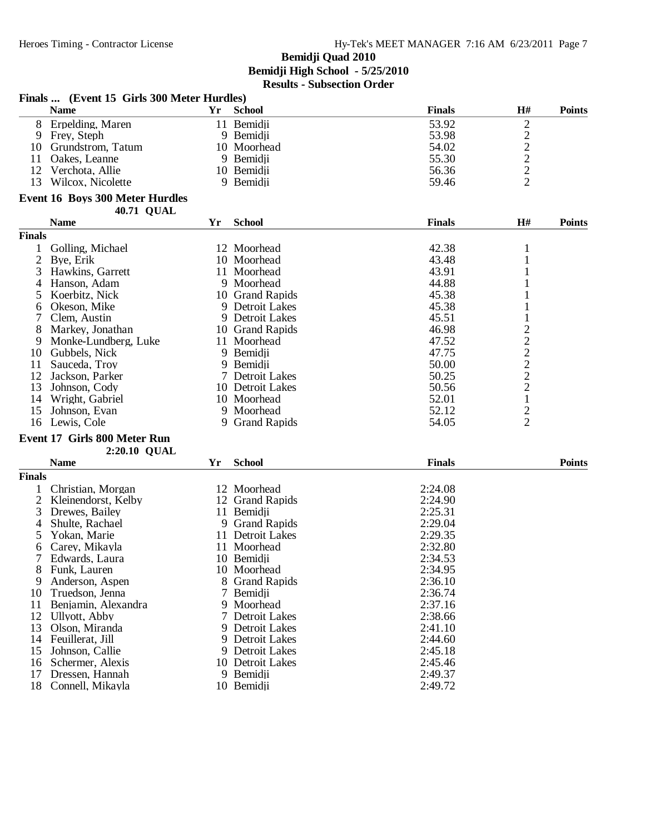18 Connell, Mikayla

#### **Bemidji Quad 2010 Bemidji High School - 5/25/2010 Results - Subsection Order**

|                | <b>Name</b>                            | Yr | <b>School</b>       | <b>Finals</b> | H#                                                | <b>Points</b> |
|----------------|----------------------------------------|----|---------------------|---------------|---------------------------------------------------|---------------|
|                | 8 Erpelding, Maren                     |    | 11 Bemidji          | 53.92         | $\overline{c}$                                    |               |
| 9              | Frey, Steph                            |    | 9 Bemidji           | 53.98         |                                                   |               |
| 10             | Grundstrom, Tatum                      |    | 10 Moorhead         | 54.02         | $\begin{array}{c}\n2 \\ 2 \\ 2 \\ 2\n\end{array}$ |               |
| 11             | Oakes, Leanne                          |    | 9 Bemidji           | 55.30         |                                                   |               |
| 12             | Verchota, Allie                        |    | 10 Bemidji          | 56.36         |                                                   |               |
| 13             | Wilcox, Nicolette                      |    | 9 Bemidji           | 59.46         |                                                   |               |
|                | <b>Event 16 Boys 300 Meter Hurdles</b> |    |                     |               |                                                   |               |
|                | <b>40.71 QUAL</b>                      |    |                     |               |                                                   |               |
|                | <b>Name</b>                            | Yr | <b>School</b>       | <b>Finals</b> | H#                                                | <b>Points</b> |
| <b>Finals</b>  |                                        |    |                     |               |                                                   |               |
|                | Golling, Michael                       |    | 12 Moorhead         | 42.38         | 1                                                 |               |
| $\overline{2}$ | Bye, Erik                              |    | 10 Moorhead         | 43.48         | 1                                                 |               |
| 3              | Hawkins, Garrett                       |    | 11 Moorhead         | 43.91         |                                                   |               |
| 4              | Hanson, Adam                           |    | 9 Moorhead          | 44.88         |                                                   |               |
| 5              | Koerbitz, Nick                         |    | 10 Grand Rapids     | 45.38         |                                                   |               |
| 6              | Okeson, Mike                           |    | 9 Detroit Lakes     | 45.38         |                                                   |               |
| 7              | Clem, Austin                           |    | 9 Detroit Lakes     | 45.51         | $\mathbf{1}$                                      |               |
| 8              | Markey, Jonathan                       |    | 10 Grand Rapids     | 46.98         |                                                   |               |
| 9              | Monke-Lundberg, Luke                   |    | 11 Moorhead         | 47.52         | $22222$<br>$2221$                                 |               |
| 10             | Gubbels, Nick                          |    | 9 Bemidji           | 47.75         |                                                   |               |
| 11             | Sauceda, Troy                          |    | 9 Bemidji           | 50.00         |                                                   |               |
| 12             | Jackson, Parker                        |    | 7 Detroit Lakes     | 50.25         |                                                   |               |
| 13             | Johnson, Cody                          |    | 10 Detroit Lakes    | 50.56         |                                                   |               |
| 14             | Wright, Gabriel                        |    | 10 Moorhead         | 52.01         |                                                   |               |
| 15             | Johnson, Evan                          |    | 9 Moorhead          | 52.12         | $\frac{2}{2}$                                     |               |
| 16             | Lewis, Cole                            | 9  | <b>Grand Rapids</b> | 54.05         |                                                   |               |
|                | Event 17 Girls 800 Meter Run           |    |                     |               |                                                   |               |
|                | 2:20.10 QUAL                           |    |                     |               |                                                   |               |
|                | <b>Name</b>                            | Yr | <b>School</b>       | <b>Finals</b> |                                                   | <b>Points</b> |
| <b>Finals</b>  |                                        |    |                     |               |                                                   |               |
|                | Christian, Morgan                      |    | 12 Moorhead         | 2:24.08       |                                                   |               |
| $\overline{2}$ | Kleinendorst, Kelby                    |    | 12 Grand Rapids     | 2:24.90       |                                                   |               |
| 3              | Drewes, Bailey                         |    | 11 Bemidji          | 2:25.31       |                                                   |               |
| 4              | Shulte, Rachael                        |    | 9 Grand Rapids      | 2:29.04       |                                                   |               |
| 5              | Yokan, Marie                           |    | 11 Detroit Lakes    | 2:29.35       |                                                   |               |
| 6              | Carev. Mikayla                         |    | 11 Moorhead         | 2:32.80       |                                                   |               |

6 Carey, Mikayla 11 Moorhead 2:32.80<br>
7 Edwards, Laura 10 Bemidii 2:34.53 7 Edwards, Laura 10 Bemidii 2:34.53<br>
8 Funk Lauren 10 Moorhead 2:34.95 8 Funk, Lauren 10 Moorhead 2:34.95<br>
9 Anderson, Aspen 8 Grand Rapids 2:36.10 9 Anderson, Aspen 8 Grand Rapids 2:36.10<br>
10 Truedson, Jenna 7 Bemidji 2:36.74 10 Truedson, Jenna 2:36.74<br>
11 Benjamin, Alexandra 9 Moorhead 2:37.16 11 Benjamin, Alexandra 9 Moorhead 2:37.16<br>12 Ullyott, Abby 7 Detroit Lakes 2:38.66 12 Ullyott, Abby 7 Detroit Lakes 2:38.66<br>13 Olson, Miranda 9 Detroit Lakes 2:41.10 13 Olson, Miranda 19 Detroit Lakes 2:41.10 14 Feuillerat, Jill 9 Detroit Lakes 2:44.60 15 Johnson, Callie 9 Detroit Lakes 2:45.18<br>16 Schermer, Alexis 10 Detroit Lakes 2:45.46 16 Schermer, Alexis 10 Detroit Lakes 2:45.46<br>17 Dressen, Hannah 9 Bemidii 2:49.37 17 Dressen, Hannah 19 Bemidji 18 Connell, Mikayla 10 Bemidji 18 Connell, Mikayla 19 Bemidji 18 2:49.72

#### **Finals ... (Event 15 Girls 300 Meter Hurdles)**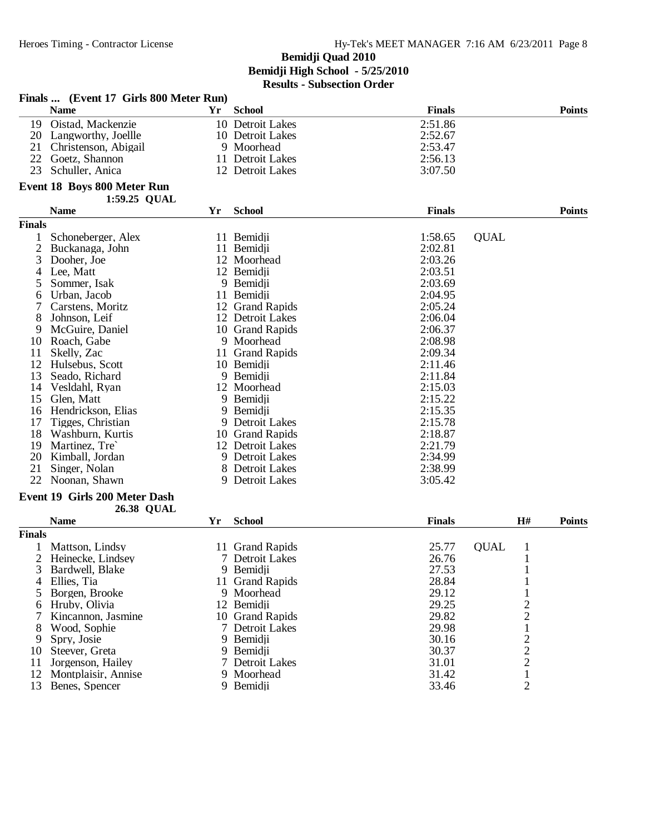|                | Finals  (Event 17 Girls 800 Meter Run) |    |                  |               |             |                         |               |
|----------------|----------------------------------------|----|------------------|---------------|-------------|-------------------------|---------------|
|                | <b>Name</b>                            | Yr | <b>School</b>    | <b>Finals</b> |             |                         | <b>Points</b> |
|                | 19 Oistad, Mackenzie                   |    | 10 Detroit Lakes | 2:51.86       |             |                         |               |
|                | 20 Langworthy, Joellle                 |    | 10 Detroit Lakes | 2:52.67       |             |                         |               |
| 21             | Christenson, Abigail                   |    | 9 Moorhead       | 2:53.47       |             |                         |               |
| 22             | Goetz, Shannon                         |    | 11 Detroit Lakes | 2:56.13       |             |                         |               |
| 23             | Schuller, Anica                        |    | 12 Detroit Lakes | 3:07.50       |             |                         |               |
|                | Event 18 Boys 800 Meter Run            |    |                  |               |             |                         |               |
|                | 1:59.25 QUAL                           |    |                  |               |             |                         |               |
|                | <b>Name</b>                            | Yr | <b>School</b>    | <b>Finals</b> |             |                         | <b>Points</b> |
| <b>Finals</b>  |                                        |    |                  |               |             |                         |               |
| 1              | Schoneberger, Alex                     |    | 11 Bemidii       | 1:58.65       | <b>OUAL</b> |                         |               |
| $\overline{c}$ | Buckanaga, John                        |    | 11 Bemidji       | 2:02.81       |             |                         |               |
| 3              | Dooher, Joe                            |    | 12 Moorhead      | 2:03.26       |             |                         |               |
| 4              | Lee, Matt                              |    | 12 Bemidji       | 2:03.51       |             |                         |               |
| 5              | Sommer, Isak                           |    | 9 Bemidji        | 2:03.69       |             |                         |               |
| 6              | Urban, Jacob                           |    | 11 Bemidji       | 2:04.95       |             |                         |               |
| 7              | Carstens, Moritz                       |    | 12 Grand Rapids  | 2:05.24       |             |                         |               |
| 8              | Johnson, Leif                          |    | 12 Detroit Lakes | 2:06.04       |             |                         |               |
| 9              | McGuire, Daniel                        |    | 10 Grand Rapids  | 2:06.37       |             |                         |               |
| 10             | Roach, Gabe                            |    | 9 Moorhead       | 2:08.98       |             |                         |               |
| 11             | Skelly, Zac                            |    | 11 Grand Rapids  | 2:09.34       |             |                         |               |
| 12             | Hulsebus, Scott                        |    | 10 Bemidji       | 2:11.46       |             |                         |               |
| 13             | Seado, Richard                         |    | 9 Bemidji        | 2:11.84       |             |                         |               |
| 14             | Vesldahl, Ryan                         |    | 12 Moorhead      | 2:15.03       |             |                         |               |
| 15             | Glen, Matt                             |    | 9 Bemidji        | 2:15.22       |             |                         |               |
| 16             | Hendrickson, Elias                     |    | 9 Bemidji        | 2:15.35       |             |                         |               |
| 17             | Tigges, Christian                      |    | 9 Detroit Lakes  | 2:15.78       |             |                         |               |
| 18             | Washburn, Kurtis                       |    | 10 Grand Rapids  | 2:18.87       |             |                         |               |
| 19             | Martinez, Tre`                         |    | 12 Detroit Lakes | 2:21.79       |             |                         |               |
|                |                                        |    |                  |               |             |                         |               |
| 20             | Kimball, Jordan                        |    | 9 Detroit Lakes  | 2:34.99       |             |                         |               |
| 21             | Singer, Nolan                          |    | 8 Detroit Lakes  | 2:38.99       |             |                         |               |
| 22             | Noonan, Shawn                          |    | 9 Detroit Lakes  | 3:05.42       |             |                         |               |
|                | Event 19 Girls 200 Meter Dash          |    |                  |               |             |                         |               |
|                | <b>26.38 QUAL</b>                      |    |                  |               |             | H#                      |               |
| <b>Finals</b>  | <b>Name</b>                            | Yr | <b>School</b>    | <b>Finals</b> |             |                         | <b>Points</b> |
|                |                                        |    | 11 Grand Rapids  | 25.77         | <b>QUAL</b> |                         |               |
|                | Mattson, Lindsy                        |    |                  |               |             | 1                       |               |
|                | 2 Heinecke, Lindsey                    |    | 7 Detroit Lakes  | 26.76         |             | 1                       |               |
| 3              | Bardwell, Blake                        |    | 9 Bemidji        | 27.53         |             | 1                       |               |
| 4              | Ellies, Tia                            |    | 11 Grand Rapids  | 28.84         |             | 1                       |               |
| 5              | Borgen, Brooke                         |    | 9 Moorhead       | 29.12         |             | 1                       |               |
| 6              | Hruby, Olivia                          |    | 12 Bemidji       | 29.25         |             | $\overline{c}$          |               |
|                | Kincannon, Jasmine                     |    | 10 Grand Rapids  | 29.82         |             | $\overline{\mathbf{c}}$ |               |
| 8              | Wood, Sophie                           |    | 7 Detroit Lakes  | 29.98         |             | $\mathbf{1}$            |               |
| 9              | Spry, Josie                            |    | 9 Bemidji        | 30.16         |             | 2                       |               |
| 10             | Steever, Greta                         |    | 9 Bemidji        | 30.37         |             | $\overline{c}$          |               |
| 11             | Jorgenson, Hailey                      |    | 7 Detroit Lakes  | 31.01         |             | $\overline{c}$          |               |
| 12             | Montplaisir, Annise                    |    | 9 Moorhead       | 31.42         |             | $\mathbf 1$             |               |
|                | 13 Benes, Spencer                      |    | 9 Bemidji        | 33.46         |             | $\overline{c}$          |               |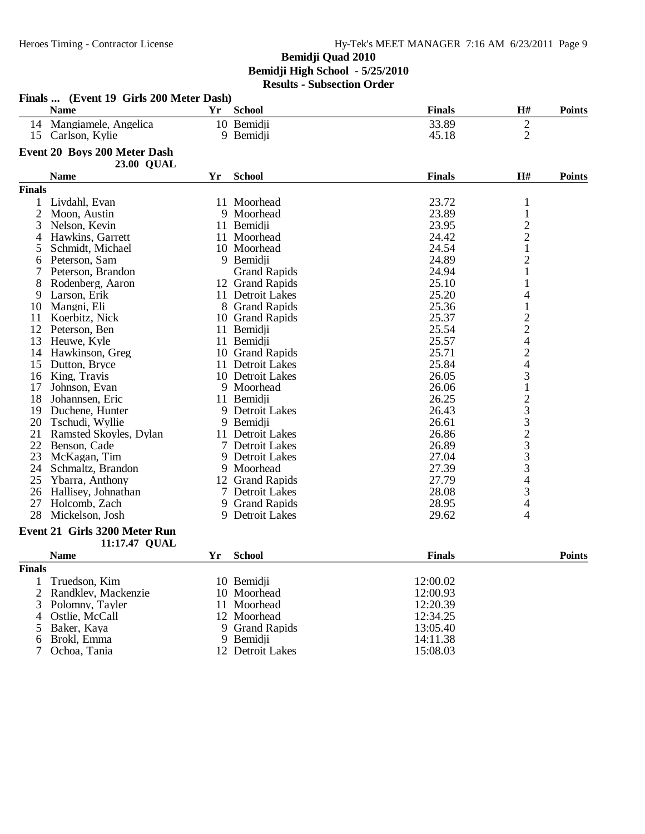|                | Finals  (Event 19 Girls 200 Meter Dash)<br><b>Name</b> | Yr. | <b>School</b>       | <b>Finals</b> | H#                                         | <b>Points</b> |
|----------------|--------------------------------------------------------|-----|---------------------|---------------|--------------------------------------------|---------------|
|                | 14 Mangiamele, Angelica                                |     | 10 Bemidii          | 33.89         | $\mathbf{2}$                               |               |
|                | 15 Carlson, Kylie                                      |     | 9 Bemidji           | 45.18         | $\overline{2}$                             |               |
|                | Event 20 Boys 200 Meter Dash<br><b>23.00 QUAL</b>      |     |                     |               |                                            |               |
|                | <b>Name</b>                                            | Yr  | <b>School</b>       | <b>Finals</b> | $\mathbf{H}$ #                             | <b>Points</b> |
| <b>Finals</b>  |                                                        |     |                     |               |                                            |               |
|                | Livdahl, Evan                                          |     | 11 Moorhead         | 23.72         | $\mathbf{1}$                               |               |
| $\overline{c}$ | Moon, Austin                                           |     | 9 Moorhead          | 23.89         | $\,1\,$                                    |               |
| 3              | Nelson, Kevin                                          |     | 11 Bemidji          | 23.95         |                                            |               |
| 4              | Hawkins, Garrett                                       |     | 11 Moorhead         | 24.42         | $\begin{array}{c} 2 \\ 2 \\ 1 \end{array}$ |               |
| 5              | Schmidt, Michael                                       |     | 10 Moorhead         | 24.54         |                                            |               |
| 6              | Peterson, Sam                                          |     | 9 Bemidji           | 24.89         | $\overline{c}$                             |               |
| 7              | Peterson, Brandon                                      |     | <b>Grand Rapids</b> | 24.94         | $\mathbf{1}$                               |               |
| 8              | Rodenberg, Aaron                                       |     | 12 Grand Rapids     | 25.10         | $\mathbf{1}$                               |               |
| 9              | Larson, Erik                                           |     | 11 Detroit Lakes    | 25.20         | 4                                          |               |
| 10             | Mangni, Eli                                            |     | 8 Grand Rapids      | 25.36         | $\mathbf{1}$                               |               |
| 11             | Koerbitz, Nick                                         |     | 10 Grand Rapids     | 25.37         |                                            |               |
| 12             | Peterson, Ben                                          |     | 11 Bemidji          | 25.54         | $\frac{2}{2}$                              |               |
| 13             | Heuwe, Kyle                                            |     | 11 Bemidji          | 25.57         | $\overline{\mathcal{L}}$                   |               |
| 14             | Hawkinson, Greg                                        |     | 10 Grand Rapids     | 25.71         |                                            |               |
| 15             | Dutton, Bryce                                          |     | 11 Detroit Lakes    | 25.84         | $\frac{2}{4}$                              |               |
| 16             | King, Travis                                           |     | 10 Detroit Lakes    | 26.05         |                                            |               |
| 17             | Johnson, Evan                                          |     | 9 Moorhead          | 26.06         | $\frac{3}{1}$                              |               |
| 18             | Johannsen, Eric                                        |     | 11 Bemidji          | 26.25         |                                            |               |
| 19             | Duchene, Hunter                                        |     | 9 Detroit Lakes     | 26.43         | 233233                                     |               |
| 20             | Tschudi, Wyllie                                        |     | 9 Bemidji           | 26.61         |                                            |               |
| 21             | Ramsted Skoyles, Dylan                                 |     | 11 Detroit Lakes    | 26.86         |                                            |               |
| 22             | Benson, Cade                                           |     | 7 Detroit Lakes     | 26.89         |                                            |               |
| 23             | McKagan, Tim                                           |     | 9 Detroit Lakes     | 27.04         |                                            |               |
| 24             | Schmaltz, Brandon                                      |     | 9 Moorhead          | 27.39         |                                            |               |
| 25             | Ybarra, Anthony                                        |     | 12 Grand Rapids     | 27.79         | $\overline{\mathcal{A}}$                   |               |
| 26             | Hallisey, Johnathan                                    |     | 7 Detroit Lakes     | 28.08         | 3                                          |               |
| 27             | Holcomb, Zach                                          |     | 9 Grand Rapids      | 28.95         | 4                                          |               |
| 28             | Mickelson, Josh                                        |     | 9 Detroit Lakes     | 29.62         | 4                                          |               |
|                | Event 21 Girls 3200 Meter Run<br>11:17.47 QUAL         |     |                     |               |                                            |               |
|                | <b>Name</b>                                            | Yr  | <b>School</b>       | <b>Finals</b> |                                            | <b>Points</b> |
| <b>Finals</b>  |                                                        |     |                     |               |                                            |               |
| 1              | Truedson, Kim                                          |     | 10 Bemidji          | 12:00.02      |                                            |               |
| $\overline{2}$ | Randklev, Mackenzie                                    |     | 10 Moorhead         | 12:00.93      |                                            |               |
| 3              | Polomny, Tayler                                        |     | 11 Moorhead         | 12:20.39      |                                            |               |
| $\overline{4}$ | Ostlie, McCall                                         |     | 12 Moorhead         | 12:34.25      |                                            |               |
| 5              | Baker, Kaya                                            |     | 9 Grand Rapids      | 13:05.40      |                                            |               |
| 6              | Brokl, Emma                                            |     | 9 Bemidii           | 14:11.38      |                                            |               |
| 7              | Ochoa, Tania                                           |     | 12 Detroit Lakes    | 15:08.03      |                                            |               |
|                |                                                        |     |                     |               |                                            |               |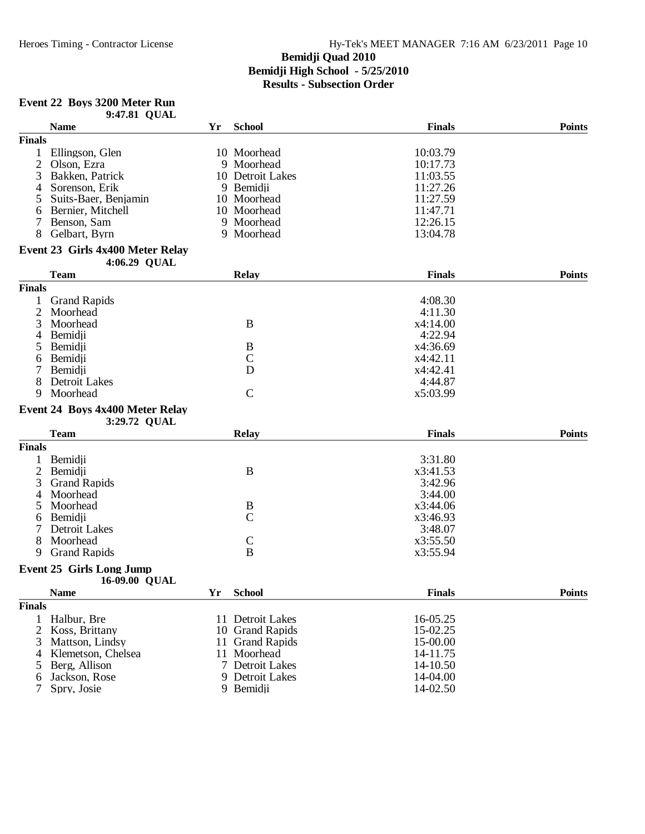# **Event 22 Boys 3200 Meter Run**

|                | 9:47.81 QUAL                     |        |                      |               |               |
|----------------|----------------------------------|--------|----------------------|---------------|---------------|
|                | <b>Name</b>                      | Yr     | <b>School</b>        | <b>Finals</b> | <b>Points</b> |
| <b>Finals</b>  |                                  |        |                      |               |               |
| 1              | Ellingson, Glen                  |        | 10 Moorhead          | 10:03.79      |               |
| $\overline{2}$ | Olson, Ezra                      |        | 9 Moorhead           | 10:17.73      |               |
| 3              | Bakken, Patrick                  |        | 10 Detroit Lakes     | 11:03.55      |               |
| 4              | Sorenson, Erik                   |        | 9 Bemidji            | 11:27.26      |               |
| 5              | Suits-Baer, Benjamin             |        | 10 Moorhead          | 11:27.59      |               |
| 6              | Bernier, Mitchell                |        | 10 Moorhead          | 11:47.71      |               |
| 7              | Benson, Sam                      |        | 9 Moorhead           | 12:26.15      |               |
| 8              | Gelbart, Byrn                    |        | 9 Moorhead           | 13:04.78      |               |
|                | Event 23 Girls 4x400 Meter Relay |        |                      |               |               |
|                | 4:06.29 QUAL                     |        |                      |               |               |
|                | <b>Team</b>                      |        | <b>Relay</b>         | <b>Finals</b> | <b>Points</b> |
| <b>Finals</b>  |                                  |        |                      |               |               |
|                | <b>Grand Rapids</b>              |        |                      | 4:08.30       |               |
| $\overline{2}$ | Moorhead                         |        |                      | 4:11.30       |               |
| 3              | Moorhead                         |        | $\bf{B}$             | x4:14.00      |               |
| 4              | Bemidji                          |        |                      | 4:22.94       |               |
| 5              | Bemidji                          |        | B                    | x4:36.69      |               |
| 6              | Bemidji                          |        | $\mathcal{C}$        | x4:42.11      |               |
| 7              | Bemidji                          |        | D                    | x4:42.41      |               |
| 8              | Detroit Lakes                    |        |                      | 4:44.87       |               |
| 9              | Moorhead                         |        | $\mathcal{C}$        | x5:03.99      |               |
|                | Event 24 Boys 4x400 Meter Relay  |        |                      |               |               |
|                | 3:29.72 QUAL                     |        |                      |               |               |
|                | <b>Team</b>                      |        | <b>Relay</b>         | <b>Finals</b> | <b>Points</b> |
| <b>Finals</b>  |                                  |        |                      |               |               |
|                | Bemidji                          |        |                      | 3:31.80       |               |
| 2              | Bemidji                          |        | $\bf{B}$             | x3:41.53      |               |
| 3              | <b>Grand Rapids</b>              |        |                      | 3:42.96       |               |
| 4              | Moorhead                         |        |                      | 3:44.00       |               |
| 5              | Moorhead                         |        | B                    | x3:44.06      |               |
| 6              | Bemidji                          |        | $\mathcal{C}$        | x3:46.93      |               |
|                | <b>Detroit Lakes</b>             |        |                      | 3:48.07       |               |
| 8              | Moorhead                         |        | $\mathsf{C}$         | x3:55.50      |               |
| 9              | <b>Grand Rapids</b>              |        | $\bf{B}$             | x3:55.94      |               |
|                | <b>Event 25 Girls Long Jump</b>  |        |                      |               |               |
|                | 16-09.00 QUAL                    |        |                      |               |               |
|                | <b>Name</b>                      | Yr     | <b>School</b>        | <b>Finals</b> | <b>Points</b> |
| <b>Finals</b>  |                                  |        |                      |               |               |
| $\mathbf{1}$   | Halbur, Bre                      |        | 11 Detroit Lakes     | 16-05.25      |               |
| 2              | Koss, Brittany                   |        | 10 Grand Rapids      | 15-02.25      |               |
| 3              | Mattson, Lindsy                  | 11     | <b>Grand Rapids</b>  | 15-00.00      |               |
| 4              | Klemetson, Chelsea               | 11     | Moorhead             | 14-11.75      |               |
| 5              | Berg, Allison                    | $\tau$ | <b>Detroit Lakes</b> | 14-10.50      |               |
| 6              | Jackson, Rose                    |        | 9 Detroit Lakes      | 14-04.00      |               |
| 7              | Spry, Josie                      |        | 9 Bemidji            | 14-02.50      |               |
|                |                                  |        |                      |               |               |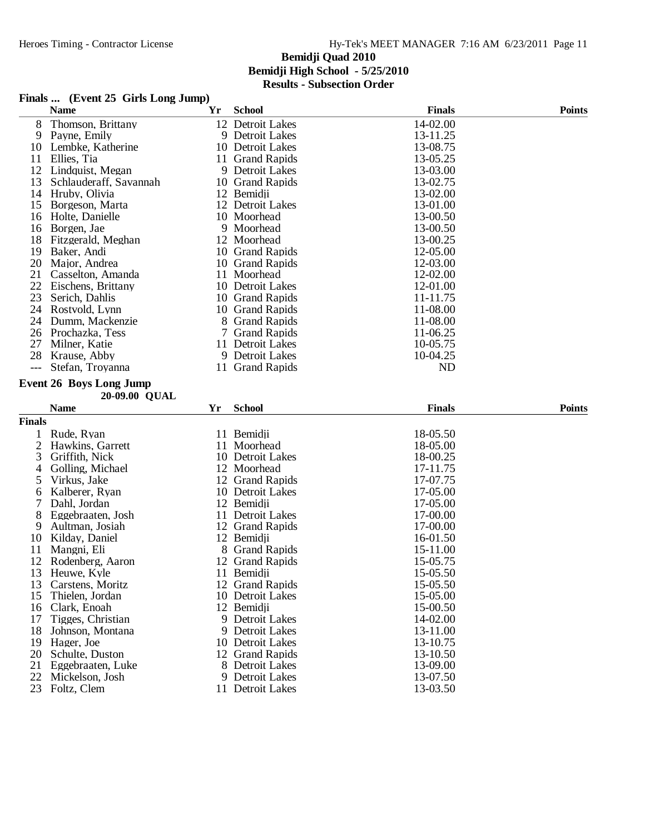|  |  |  | Finals  (Event 25 Girls Long Jump) |  |
|--|--|--|------------------------------------|--|
|--|--|--|------------------------------------|--|

|               | <b>Name</b>                       | Yr | <b>School</b>                       | <b>Finals</b> | <b>Points</b> |
|---------------|-----------------------------------|----|-------------------------------------|---------------|---------------|
| 8             | Thomson, Brittany                 |    | 12 Detroit Lakes                    | 14-02.00      |               |
| 9             | Payne, Emily                      |    | 9 Detroit Lakes                     | 13-11.25      |               |
| 10            | Lembke, Katherine                 |    | 10 Detroit Lakes                    | 13-08.75      |               |
| 11            | Ellies, Tia                       |    | 11 Grand Rapids                     | 13-05.25      |               |
| 12            | Lindquist, Megan                  |    | 9 Detroit Lakes                     | 13-03.00      |               |
| 13            | Schlauderaff, Savannah            |    | 10 Grand Rapids                     | 13-02.75      |               |
| 14            | Hruby, Olivia                     |    | 12 Bemidji                          | 13-02.00      |               |
| 15            | Borgeson, Marta                   |    | 12 Detroit Lakes                    | 13-01.00      |               |
| 16            | Holte, Danielle                   |    | 10 Moorhead                         | 13-00.50      |               |
| 16            | Borgen, Jae                       |    | 9 Moorhead                          | 13-00.50      |               |
| 18            | Fitzgerald, Meghan                |    | 12 Moorhead                         | 13-00.25      |               |
| 19            | Baker, Andi                       |    | 10 Grand Rapids                     | 12-05.00      |               |
| 20            | Major, Andrea                     |    | 10 Grand Rapids                     | 12-03.00      |               |
| 21            | Casselton, Amanda                 | 11 | Moorhead                            | 12-02.00      |               |
| 22            | Eischens, Brittany                |    | 10 Detroit Lakes                    | 12-01.00      |               |
| 23            | Serich, Dahlis                    |    | 10 Grand Rapids                     | 11-11.75      |               |
| 24            | Rostvold, Lynn                    |    | 10 Grand Rapids                     | 11-08.00      |               |
| 24            | Dumm, Mackenzie                   |    | 8 Grand Rapids                      | 11-08.00      |               |
| 26            | Prochazka, Tess                   | 7  | <b>Grand Rapids</b>                 | 11-06.25      |               |
| 27            | Milner, Katie                     |    | 11 Detroit Lakes                    | 10-05.75      |               |
| 28            | Krause, Abby                      |    | 9 Detroit Lakes                     | 10-04.25      |               |
| $---$         | Stefan, Troyanna                  |    | 11 Grand Rapids                     | <b>ND</b>     |               |
|               | <b>Event 26 Boys Long Jump</b>    |    |                                     |               |               |
|               | 20-09.00 QUAL                     |    |                                     |               |               |
|               |                                   |    |                                     |               |               |
|               | <b>Name</b>                       | Yr | <b>School</b>                       | <b>Finals</b> | <b>Points</b> |
| <b>Finals</b> |                                   |    |                                     |               |               |
| 1             | Rude, Ryan                        |    | 11 Bemidji                          | 18-05.50      |               |
| 2             | Hawkins, Garrett                  | 11 | Moorhead                            | 18-05.00      |               |
| 3             | Griffith, Nick                    |    | 10 Detroit Lakes                    | 18-00.25      |               |
| 4             | Golling, Michael                  |    | 12 Moorhead                         | 17-11.75      |               |
| 5             |                                   |    |                                     | 17-07.75      |               |
| 6             | Virkus, Jake<br>Kalberer, Ryan    |    | 12 Grand Rapids<br>10 Detroit Lakes | 17-05.00      |               |
| 7             | Dahl, Jordan                      |    |                                     | 17-05.00      |               |
| 8             | Eggebraaten, Josh                 |    | 12 Bemidji<br>11 Detroit Lakes      | 17-00.00      |               |
| 9             | Aultman, Josiah                   |    | 12 Grand Rapids                     | 17-00.00      |               |
| 10            | Kilday, Daniel                    |    | 12 Bemidji                          | 16-01.50      |               |
| 11            | Mangni, Eli                       |    | 8 Grand Rapids                      | 15-11.00      |               |
| 12            | Rodenberg, Aaron                  |    | 12 Grand Rapids                     | 15-05.75      |               |
| 13            | Heuwe, Kyle                       |    | 11 Bemidji                          | 15-05.50      |               |
| 13            | Carstens, Moritz                  |    | 12 Grand Rapids                     | 15-05.50      |               |
| 15            | Thielen, Jordan                   |    | 10 Detroit Lakes                    | 15-05.00      |               |
| 16            | Clark, Enoah                      |    | 12 Bemidji                          | 15-00.50      |               |
| 17            | Tigges, Christian                 |    | 9 Detroit Lakes                     | 14-02.00      |               |
| 18            | Johnson, Montana                  |    | 9 Detroit Lakes                     | 13-11.00      |               |
| 19            | Hager, Joe                        |    | 10 Detroit Lakes                    | 13-10.75      |               |
| 20            | Schulte, Duston                   |    | 12 Grand Rapids                     | 13-10.50      |               |
| 21            | Eggebraaten, Luke                 |    | 8 Detroit Lakes                     | 13-09.00      |               |
| 22            | Mickelson, Josh<br>23 Foltz, Clem |    | 9 Detroit Lakes                     | 13-07.50      |               |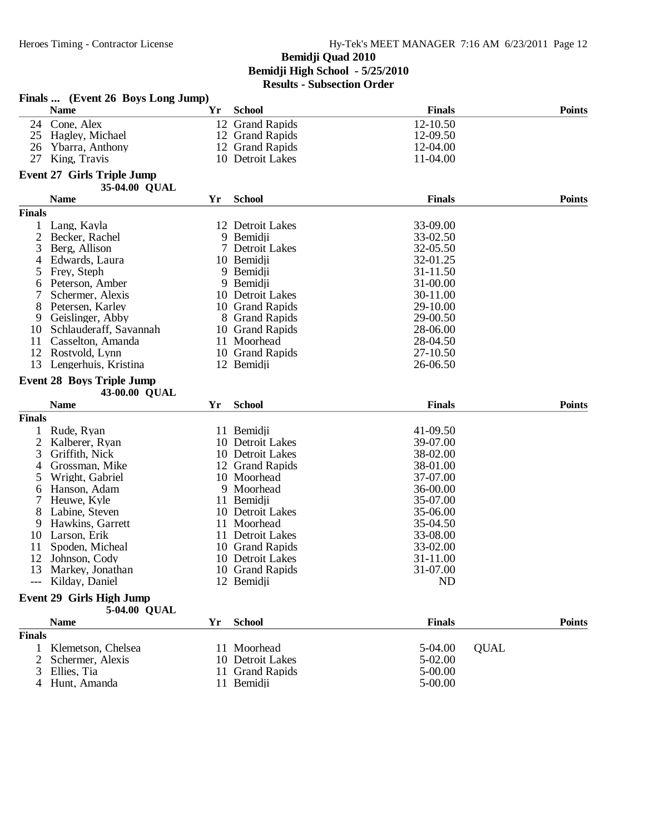|                | Finals  (Event 26 Boys Long Jump)                  |     |                                     |                        |               |
|----------------|----------------------------------------------------|-----|-------------------------------------|------------------------|---------------|
|                | <b>Name</b>                                        | Yr  | <b>School</b>                       | <b>Finals</b>          | <b>Points</b> |
| 24             | Cone, Alex                                         |     | 12 Grand Rapids                     | 12-10.50               |               |
| 25             | Hagley, Michael                                    |     | 12 Grand Rapids                     | 12-09.50               |               |
| 26             | Ybarra, Anthony                                    |     | 12 Grand Rapids                     | 12-04.00               |               |
| 27             | King, Travis                                       |     | 10 Detroit Lakes                    | 11-04.00               |               |
|                | <b>Event 27 Girls Triple Jump</b><br>35-04.00 QUAL |     |                                     |                        |               |
|                | <b>Name</b>                                        | Yr  | <b>School</b>                       | <b>Finals</b>          | <b>Points</b> |
| <b>Finals</b>  |                                                    |     |                                     |                        |               |
|                | Lang, Kayla                                        |     | 12 Detroit Lakes                    | 33-09.00               |               |
| 2              | Becker, Rachel                                     |     | 9 Bemidji                           | 33-02.50               |               |
| 3              | Berg, Allison                                      |     | 7 Detroit Lakes                     | 32-05.50               |               |
| 4              | Edwards, Laura                                     |     | 10 Bemidji                          | 32-01.25               |               |
| 5              | Frey, Steph                                        |     | 9 Bemidji                           | 31-11.50               |               |
| 6              | Peterson, Amber                                    |     | 9 Bemidji                           | 31-00.00               |               |
| 7              | Schermer, Alexis                                   |     | 10 Detroit Lakes                    | 30-11.00               |               |
| 8              | Petersen, Karley                                   |     | 10 Grand Rapids                     | 29-10.00               |               |
| 9              | Geislinger, Abby                                   |     | 8 Grand Rapids                      | 29-00.50               |               |
| 10             | Schlauderaff, Savannah                             |     | 10 Grand Rapids                     | 28-06.00               |               |
| 11             | Casselton, Amanda                                  |     | 11 Moorhead                         | 28-04.50               |               |
| 12             | Rostvold, Lynn                                     |     | 10 Grand Rapids                     | 27-10.50               |               |
| 13             | Lengerhuis, Kristina                               |     | 12 Bemidji                          | 26-06.50               |               |
|                | <b>Event 28 Boys Triple Jump</b>                   |     |                                     |                        |               |
|                | 43-00.00 QUAL                                      |     |                                     |                        |               |
|                | <b>Name</b>                                        | Yr  | <b>School</b>                       | <b>Finals</b>          | <b>Points</b> |
| <b>Finals</b>  |                                                    |     |                                     |                        |               |
|                | Rude, Ryan                                         |     | 11 Bemidji                          | 41-09.50               |               |
| $\overline{c}$ | Kalberer, Ryan                                     |     | 10 Detroit Lakes                    | 39-07.00               |               |
| 3              | Griffith, Nick                                     |     | 10 Detroit Lakes                    | 38-02.00               |               |
| 4              | Grossman, Mike                                     |     | 12 Grand Rapids                     | 38-01.00               |               |
| 5              | Wright, Gabriel                                    |     | 10 Moorhead                         | 37-07.00               |               |
| 6              | Hanson, Adam                                       |     | 9 Moorhead                          | 36-00.00               |               |
|                | Heuwe, Kyle                                        |     | 11 Bemidji                          | 35-07.00               |               |
| 8              | Labine, Steven                                     |     | 10 Detroit Lakes                    | 35-06.00               |               |
| 9              | Hawkins, Garrett                                   |     | 11 Moorhead                         | 35-04.50               |               |
| 10<br>11       | Larson, Erik                                       |     | 11 Detroit Lakes<br>10 Grand Rapids | 33-08.00<br>33-02.00   |               |
| 12             | Spoden, Micheal<br>Johnson, Cody                   |     |                                     |                        |               |
|                | 13 Markey, Jonathan                                |     | 10 Detroit Lakes<br>10 Grand Rapids | 31-11.00<br>31-07.00   |               |
|                | Kilday, Daniel                                     |     | 12 Bemidji                          | <b>ND</b>              |               |
|                |                                                    |     |                                     |                        |               |
|                | Event 29 Girls High Jump                           |     |                                     |                        |               |
|                | 5-04.00 QUAL                                       |     |                                     |                        |               |
|                | <b>Name</b>                                        | Yr. | <b>School</b>                       | <b>Finals</b>          | <b>Points</b> |
| <b>Finals</b>  | Klemetson, Chelsea                                 |     |                                     |                        |               |
| $\mathbf{1}$   |                                                    |     | 11 Moorhead                         | 5-04.00                | <b>QUAL</b>   |
| 2              | Schermer, Alexis<br>Ellies, Tia                    |     | 10 Detroit Lakes<br>11 Grand Rapids | 5-02.00<br>$5 - 00.00$ |               |
|                | Hunt, Amanda                                       |     | 11 Bemidji                          | $5 - 00.00$            |               |
|                |                                                    |     |                                     |                        |               |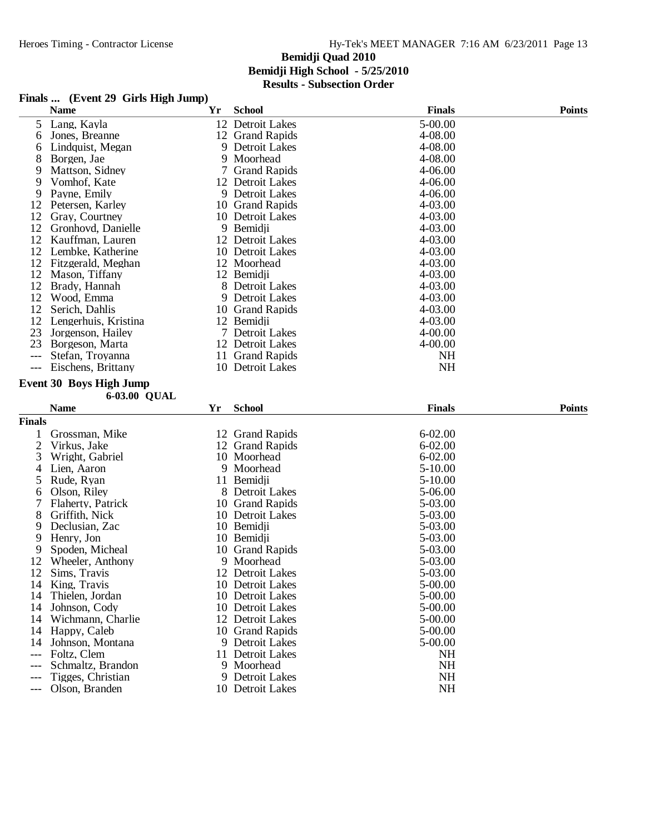#### **Finals ... (Event 29 Girls High Jump)**

|               | <b>Name</b>                            | Yr | <b>School</b>                 | <b>Finals</b>   | <b>Points</b> |
|---------------|----------------------------------------|----|-------------------------------|-----------------|---------------|
| 5             | Lang, Kayla                            |    | 12 Detroit Lakes              | 5-00.00         |               |
| 6             | Jones, Breanne                         |    | 12 Grand Rapids               | 4-08.00         |               |
| 6             | Lindquist, Megan                       | 9  | Detroit Lakes                 | 4-08.00         |               |
| 8             | Borgen, Jae                            | 9  | Moorhead                      | 4-08.00         |               |
| 9             | Mattson, Sidney                        | 7  | <b>Grand Rapids</b>           | 4-06.00         |               |
| 9             | Vomhof, Kate                           |    | 12 Detroit Lakes              | 4-06.00         |               |
| 9             | Payne, Emily                           |    | 9 Detroit Lakes               | 4-06.00         |               |
| 12            | Petersen, Karley                       |    | 10 Grand Rapids               | 4-03.00         |               |
| 12            | Gray, Courtney                         |    | 10 Detroit Lakes              | 4-03.00         |               |
| 12            | Gronhovd, Danielle                     |    | 9 Bemidji                     | 4-03.00         |               |
| 12            | Kauffman, Lauren                       |    | 12 Detroit Lakes              | 4-03.00         |               |
| 12            | Lembke, Katherine                      |    | 10 Detroit Lakes              | 4-03.00         |               |
| 12            | Fitzgerald, Meghan                     |    | 12 Moorhead                   | 4-03.00         |               |
| 12            | Mason, Tiffany                         |    | 12 Bemidji                    | 4-03.00         |               |
| 12            | Brady, Hannah                          | 8  | Detroit Lakes                 | 4-03.00         |               |
| 12            | Wood, Emma                             | 9  | Detroit Lakes                 | 4-03.00         |               |
| 12            | Serich, Dahlis                         |    | 10 Grand Rapids               | 4-03.00         |               |
| 12            | Lengerhuis, Kristina                   |    | 12 Bemidji                    | 4-03.00         |               |
| 23            | Jorgenson, Hailey                      |    | 7 Detroit Lakes               | $4 - 00.00$     |               |
| 23            | Borgeson, Marta                        |    | 12 Detroit Lakes              | 4-00.00         |               |
| $---$         | Stefan, Troyanna                       |    | 11 Grand Rapids               | <b>NH</b>       |               |
| $---$         | Eischens, Brittany                     |    | 10 Detroit Lakes              | <b>NH</b>       |               |
|               |                                        |    |                               |                 |               |
|               | <b>Event 30 Boys High Jump</b>         |    |                               |                 |               |
|               | 6-03.00 QUAL                           |    |                               |                 |               |
|               |                                        |    |                               |                 |               |
|               | <b>Name</b>                            | Yr | <b>School</b>                 | <b>Finals</b>   | <b>Points</b> |
| <b>Finals</b> |                                        |    |                               |                 |               |
| 1             | Grossman, Mike                         |    | 12 Grand Rapids               | $6 - 02.00$     |               |
| 2             | Virkus, Jake                           |    | 12 Grand Rapids               | $6 - 02.00$     |               |
| 3             | Wright, Gabriel                        |    | 10 Moorhead                   | $6 - 02.00$     |               |
| 4             | Lien, Aaron                            | 9  | Moorhead                      | $5-10.00$       |               |
| 5             | Rude, Ryan                             |    | 11 Bemidji                    | $5-10.00$       |               |
| 6             | Olson, Riley                           |    | 8 Detroit Lakes               | 5-06.00         |               |
| 7             | Flaherty, Patrick                      |    | 10 Grand Rapids               | 5-03.00         |               |
| 8             | Griffith, Nick                         |    | 10 Detroit Lakes              | 5-03.00         |               |
| 9             | Declusian, Zac                         |    | 10 Bemidji                    | 5-03.00         |               |
| 9             | Henry, Jon                             |    | 10 Bemidji                    | 5-03.00         |               |
| 9             | Spoden, Micheal                        |    | 10 Grand Rapids               | 5-03.00         |               |
| 12            | Wheeler, Anthony                       |    | 9 Moorhead                    | 5-03.00         |               |
|               | 12 Sims, Travis                        |    | 12 Detroit Lakes              | 5-03.00         |               |
|               | 14 King, Travis                        |    | 10 Detroit Lakes              | $5 - 00.00$     |               |
| 14            | Thielen, Jordan                        |    | 10 Detroit Lakes              | 5-00.00         |               |
| 14            | Johnson, Cody                          |    | 10 Detroit Lakes              | $5 - 00.00$     |               |
| 14            | Wichmann, Charlie                      |    | 12 Detroit Lakes              | 5-00.00         |               |
| 14            | Happy, Caleb                           |    | 10 Grand Rapids               | $5 - 00.00$     |               |
| 14            | Johnson, Montana                       |    | 9 Detroit Lakes               | 5-00.00         |               |
| $---$         | Foltz, Clem                            |    | 11 Detroit Lakes              | <b>NH</b>       |               |
|               | Schmaltz, Brandon<br>Tigges, Christian |    | 9 Moorhead<br>9 Detroit Lakes | <b>NH</b><br>NH |               |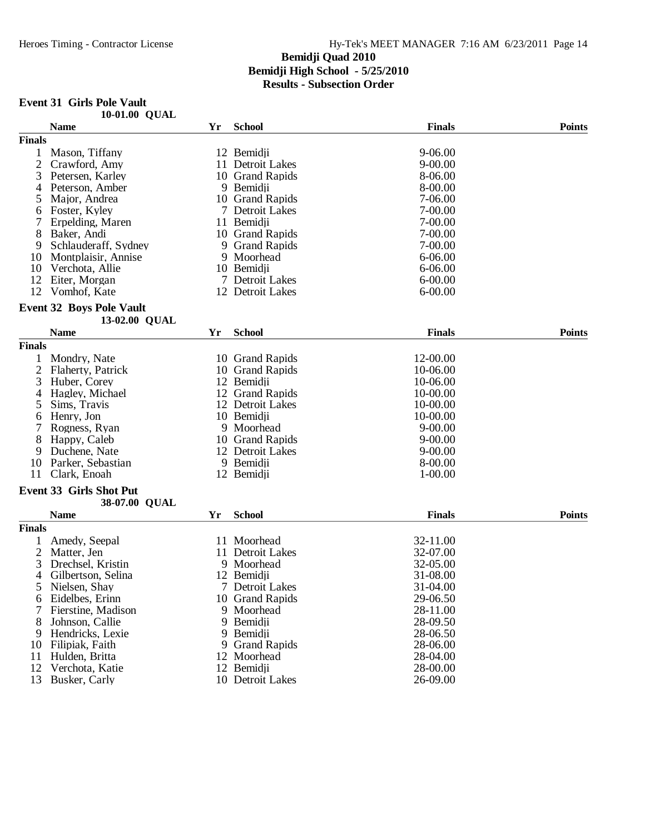# **Event 31 Girls Pole Vault**

|               | 10-01.00 QUAL                   |    |                     |               |               |
|---------------|---------------------------------|----|---------------------|---------------|---------------|
|               | <b>Name</b>                     | Yr | <b>School</b>       | <b>Finals</b> | <b>Points</b> |
| <b>Finals</b> |                                 |    |                     |               |               |
| 1             | Mason, Tiffany                  |    | 12 Bemidji          | 9-06.00       |               |
| 2             | Crawford, Amy                   |    | 11 Detroit Lakes    | $9 - 00.00$   |               |
| 3             | Petersen, Karley                |    | 10 Grand Rapids     | 8-06.00       |               |
| 4             | Peterson, Amber                 |    | 9 Bemidji           | 8-00.00       |               |
| 5             | Major, Andrea                   |    | 10 Grand Rapids     | 7-06.00       |               |
| 6             | Foster, Kyley                   |    | 7 Detroit Lakes     | $7 - 00.00$   |               |
| 7             | Erpelding, Maren                |    | 11 Bemidji          | 7-00.00       |               |
| 8             | Baker, Andi                     |    | 10 Grand Rapids     | 7-00.00       |               |
| 9             | Schlauderaff, Sydney            |    | 9 Grand Rapids      | 7-00.00       |               |
| 10            | Montplaisir, Annise             |    | 9 Moorhead          | 6-06.00       |               |
| 10            | Verchota, Allie                 |    | 10 Bemidji          | 6-06.00       |               |
| 12            | Eiter, Morgan                   |    | 7 Detroit Lakes     | $6 - 00.00$   |               |
| 12            | Vomhof, Kate                    |    | 12 Detroit Lakes    | $6 - 00.00$   |               |
|               | <b>Event 32 Boys Pole Vault</b> |    |                     |               |               |
|               | 13-02.00 QUAL                   |    |                     |               |               |
|               | <b>Name</b>                     | Yr | <b>School</b>       | <b>Finals</b> | <b>Points</b> |
| <b>Finals</b> |                                 |    |                     |               |               |
|               | Mondry, Nate                    |    | 10 Grand Rapids     | 12-00.00      |               |
| 2             | Flaherty, Patrick               | 10 | <b>Grand Rapids</b> | 10-06.00      |               |
| 3             | Huber, Corey                    |    | 12 Bemidji          | 10-06.00      |               |
| 4             | Hagley, Michael                 |    | 12 Grand Rapids     | 10-00.00      |               |
| 5             | Sims, Travis                    |    | 12 Detroit Lakes    | 10-00.00      |               |
| 6             | Henry, Jon                      |    | 10 Bemidji          | 10-00.00      |               |
|               | Rogness, Ryan                   |    | 9 Moorhead          | $9 - 00.00$   |               |
| 8             | Happy, Caleb                    |    | 10 Grand Rapids     | $9 - 00.00$   |               |
| 9             | Duchene, Nate                   |    | 12 Detroit Lakes    | $9 - 00.00$   |               |
| 10            | Parker, Sebastian               |    | 9 Bemidji           | 8-00.00       |               |
| 11            | Clark, Enoah                    |    | 12 Bemidji          | $1 - 00.00$   |               |
|               |                                 |    |                     |               |               |
|               | <b>Event 33 Girls Shot Put</b>  |    |                     |               |               |
|               | 38-07.00 QUAL                   |    |                     |               |               |
|               | <b>Name</b>                     | Yr | <b>School</b>       | <b>Finals</b> | <b>Points</b> |
| <b>Finals</b> |                                 |    |                     |               |               |
|               | Amedy, Seepal                   |    | 11 Moorhead         | 32-11.00      |               |
| 2             | Matter, Jen                     | 11 | Detroit Lakes       | 32-07.00      |               |
| 3             | Drechsel, Kristin               |    | 9 Moorhead          | 32-05.00      |               |
| 4             | Gilbertson, Selina              |    | 12 Bemidji          | 31-08.00      |               |
| C             | Nielsen, Shay                   |    | 7 Detroit Lakes     | 31-04.00      |               |
| 6             | Eidelbes, Erinn                 |    | 10 Grand Rapids     | 29-06.50      |               |
| 7             | Fierstine, Madison              |    | 9 Moorhead          | 28-11.00      |               |
| 8             | Johnson, Callie                 |    | 9 Bemidji           | 28-09.50      |               |
| 9             | Hendricks, Lexie                |    | 9 Bemidji           | 28-06.50      |               |
| 10            | Filipiak, Faith                 | 9  | <b>Grand Rapids</b> | 28-06.00      |               |
| 11            | Hulden, Britta                  |    | 12 Moorhead         | 28-04.00      |               |
| 12            | Verchota, Katie                 |    | 12 Bemidji          | 28-00.00      |               |
| 13            | Busker, Carly                   |    | 10 Detroit Lakes    | 26-09.00      |               |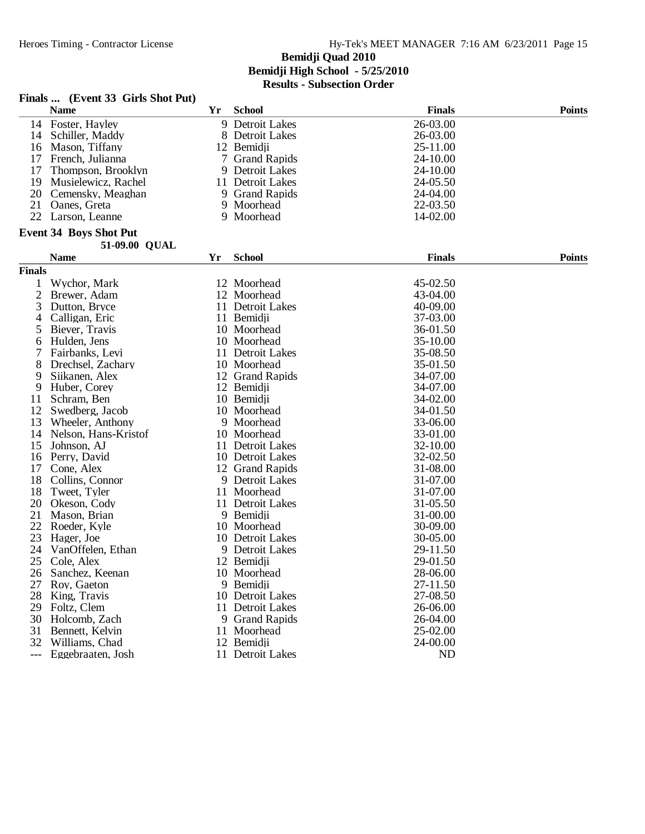|               | Finals  (Event 33 Girls Shot Put) |    |                     |               |               |
|---------------|-----------------------------------|----|---------------------|---------------|---------------|
|               | <b>Name</b>                       | Yr | <b>School</b>       | <b>Finals</b> | <b>Points</b> |
|               | 14 Foster, Hayley                 |    | 9 Detroit Lakes     | 26-03.00      |               |
| 14            | Schiller, Maddy                   |    | 8 Detroit Lakes     | 26-03.00      |               |
| 16            | Mason, Tiffany                    |    | 12 Bemidii          | 25-11.00      |               |
| 17            | French, Julianna                  | 7  | <b>Grand Rapids</b> | 24-10.00      |               |
| 17            | Thompson, Brooklyn                |    | 9 Detroit Lakes     | 24-10.00      |               |
| 19            | Musielewicz, Rachel               |    | 11 Detroit Lakes    | 24-05.50      |               |
| 20            | Cemensky, Meaghan                 |    | 9 Grand Rapids      | 24-04.00      |               |
| 21            | Oanes, Greta                      |    | 9 Moorhead          | 22-03.50      |               |
|               | 22 Larson, Leanne                 |    | 9 Moorhead          | 14-02.00      |               |
|               | <b>Event 34 Boys Shot Put</b>     |    |                     |               |               |
|               | 51-09.00 QUAL                     |    |                     |               |               |
|               | <b>Name</b>                       | Yr | <b>School</b>       | <b>Finals</b> | <b>Points</b> |
| <b>Finals</b> |                                   |    |                     |               |               |
| 1             | Wychor, Mark                      |    | 12 Moorhead         | 45-02.50      |               |
| 2             | Brewer, Adam                      |    | 12 Moorhead         | 43-04.00      |               |
| 3             | Dutton, Bryce                     |    | 11 Detroit Lakes    | 40-09.00      |               |
| 4             | Calligan, Eric                    |    | 11 Bemidji          | 37-03.00      |               |
| 5             | Biever, Travis                    |    | 10 Moorhead         | 36-01.50      |               |
| 6             | Hulden, Jens                      |    | 10 Moorhead         | 35-10.00      |               |
| 7             | Fairbanks, Levi                   |    | 11 Detroit Lakes    | 35-08.50      |               |
| 8             | Drechsel, Zachary                 |    | 10 Moorhead         | 35-01.50      |               |
| 9             | Siikanen, Alex                    |    | 12 Grand Rapids     | 34-07.00      |               |
| 9             | Huber, Corey                      |    | 12 Bemidji          | 34-07.00      |               |
| 11            | Schram, Ben                       |    | 10 Bemidji          | 34-02.00      |               |
| 12            | Swedberg, Jacob                   |    | 10 Moorhead         | 34-01.50      |               |
| 13            | Wheeler, Anthony                  |    | 9 Moorhead          | 33-06.00      |               |
| 14            | Nelson, Hans-Kristof              |    | 10 Moorhead         | 33-01.00      |               |
| 15            | Johnson, AJ                       |    | 11 Detroit Lakes    | 32-10.00      |               |
| 16            | Perry, David                      |    | 10 Detroit Lakes    | 32-02.50      |               |
| 17            | Cone, Alex                        |    | 12 Grand Rapids     | 31-08.00      |               |
| 18            | Collins, Connor                   |    | 9 Detroit Lakes     | 31-07.00      |               |
| 18            | Tweet, Tyler                      |    | 11 Moorhead         | 31-07.00      |               |
| 20            | Okeson, Cody                      |    | 11 Detroit Lakes    | 31-05.50      |               |
| 21            | Mason, Brian                      |    | 9 Bemidii           | 31-00.00      |               |
| 22            | Roeder, Kyle                      |    | 10 Moorhead         | 30-09.00      |               |
| 23            | Hager, Joe                        |    | 10 Detroit Lakes    | 30-05.00      |               |
| 24            | VanOffelen, Ethan                 |    | 9 Detroit Lakes     | 29-11.50      |               |
|               | 25 Cole, Alex                     |    | 12 Bemidji          | 29-01.50      |               |
| 26            | Sanchez, Keenan                   |    | 10 Moorhead         | 28-06.00      |               |
| 27            | Roy, Gaeton                       |    | 9 Bemidii           | 27-11.50      |               |
| 28            | King, Travis                      |    | 10 Detroit Lakes    | 27-08.50      |               |
| 29            | Foltz, Clem                       |    | 11 Detroit Lakes    | 26-06.00      |               |
| 30            | Holcomb, Zach                     |    | 9 Grand Rapids      | 26-04.00      |               |
| 31            | Bennett, Kelvin                   |    | 11 Moorhead         | 25-02.00      |               |
|               | 32 Williams, Chad                 |    | 12 Bemidji          | 24-00.00      |               |
| ---           | Eggebraaten, Josh                 |    | 11 Detroit Lakes    | <b>ND</b>     |               |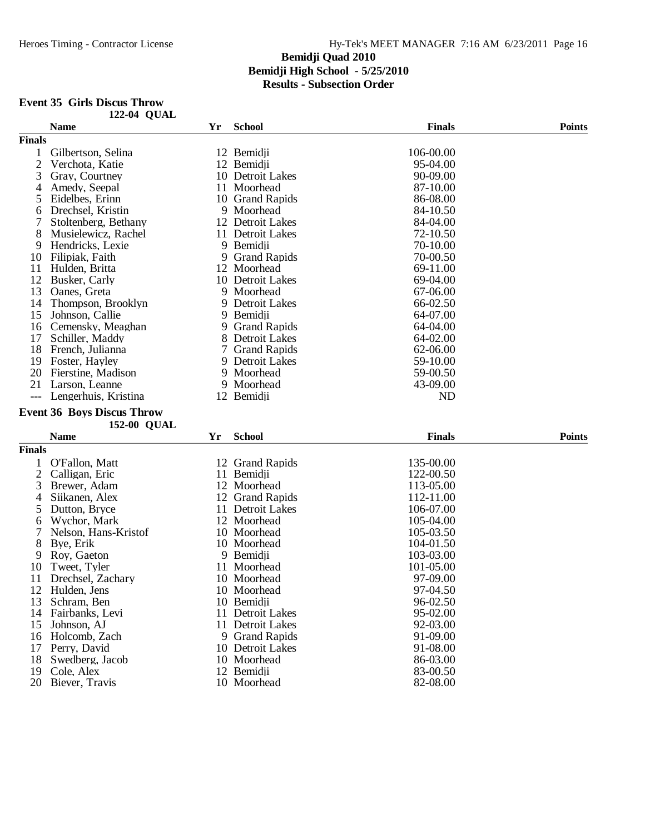#### **Event 35 Girls Discus Throw 122-04 QUAL**

|                | <b>Name</b>                       | Yr | <b>School</b>             | <b>Finals</b>        | <b>Points</b> |
|----------------|-----------------------------------|----|---------------------------|----------------------|---------------|
| <b>Finals</b>  |                                   |    |                           |                      |               |
| 1              | Gilbertson, Selina                |    | 12 Bemidii                | 106-00.00            |               |
| $\overline{2}$ | Verchota, Katie                   |    | 12 Bemidji                | 95-04.00             |               |
| 3              | Gray, Courtney                    |    | 10 Detroit Lakes          | 90-09.00             |               |
| 4              | Amedy, Seepal                     |    | 11 Moorhead               | 87-10.00             |               |
| 5              | Eidelbes, Erinn                   |    | 10 Grand Rapids           | 86-08.00             |               |
| 6              | Drechsel, Kristin                 |    | 9 Moorhead                | 84-10.50             |               |
|                | Stoltenberg, Bethany              |    | 12 Detroit Lakes          | 84-04.00             |               |
| 8              | Musielewicz, Rachel               |    | 11 Detroit Lakes          | 72-10.50             |               |
| 9              | Hendricks, Lexie                  |    | 9 Bemidii                 | 70-10.00             |               |
| 10             | Filipiak, Faith                   | 9  | <b>Grand Rapids</b>       | 70-00.50             |               |
| 11             | Hulden, Britta                    | 12 | Moorhead                  | 69-11.00             |               |
| 12             | Busker, Carly                     |    | 10 Detroit Lakes          | 69-04.00             |               |
| 13             | Oanes, Greta                      |    | 9 Moorhead                | 67-06.00             |               |
| 14             | Thompson, Brooklyn                | 9  | Detroit Lakes             | 66-02.50             |               |
| 15             |                                   |    | 9 Bemidji                 | 64-07.00             |               |
|                | Johnson, Callie                   |    |                           |                      |               |
| 16             | Cemensky, Meaghan                 | 9  | <b>Grand Rapids</b>       | 64-04.00             |               |
| 17             | Schiller, Maddy                   | 8  | Detroit Lakes             | 64-02.00             |               |
| 18             | French, Julianna                  |    | 7 Grand Rapids            | 62-06.00             |               |
| 19             | Foster, Hayley                    |    | 9 Detroit Lakes           | 59-10.00             |               |
| 20             | Fierstine, Madison                |    | 9 Moorhead                | 59-00.50             |               |
| 21             | Larson, Leanne                    |    | 9 Moorhead                | 43-09.00             |               |
| $---$          | Lengerhuis, Kristina              |    | 12 Bemidji                | ND                   |               |
|                | <b>Event 36 Boys Discus Throw</b> |    |                           |                      |               |
|                | 152-00 QUAL                       |    |                           |                      |               |
|                | <b>Name</b>                       | Yr | <b>School</b>             | <b>Finals</b>        | <b>Points</b> |
|                |                                   |    |                           |                      |               |
|                |                                   |    |                           |                      |               |
| <b>Finals</b>  |                                   |    |                           |                      |               |
| 1              | O'Fallon, Matt                    |    | 12 Grand Rapids           | 135-00.00            |               |
| 2              | Calligan, Eric                    |    | 11 Bemidji                | 122-00.50            |               |
| 3              | Brewer, Adam                      |    | 12 Moorhead               | 113-05.00            |               |
| 4              | Siikanen, Alex                    |    | 12 Grand Rapids           | 112-11.00            |               |
| 5              | Dutton, Bryce                     |    | 11 Detroit Lakes          | 106-07.00            |               |
| 6              | Wychor, Mark                      |    | 12 Moorhead               | 105-04.00            |               |
| 7              | Nelson, Hans-Kristof              |    | 10 Moorhead               | 105-03.50            |               |
| 8              | Bye, Erik                         |    | 10 Moorhead               | 104-01.50            |               |
| 9              | Roy, Gaeton                       |    | 9 Bemidji                 | 103-03.00            |               |
| 10             | Tweet, Tyler                      |    | 11 Moorhead               | 101-05.00            |               |
| 11             | Drechsel, Zachary                 |    | 10 Moorhead               | 97-09.00             |               |
| 12             | Hulden, Jens                      |    | 10 Moorhead               | 97-04.50             |               |
| 13             | Schram, Ben                       |    | 10 Bemidji                | 96-02.50             |               |
| 14             | Fairbanks, Levi                   | 11 | Detroit Lakes             | 95-02.00             |               |
| 15             | Johnson, AJ                       |    | 11 Detroit Lakes          | 92-03.00             |               |
| 16             | Holcomb, Zach                     |    | 9 Grand Rapids            | 91-09.00             |               |
| 17             | Perry, David                      |    | 10 Detroit Lakes          | 91-08.00             |               |
| 18             | Swedberg, Jacob                   |    | 10 Moorhead               | 86-03.00             |               |
| 19<br>20       | Cole, Alex<br>Biever, Travis      |    | 12 Bemidji<br>10 Moorhead | 83-00.50<br>82-08.00 |               |